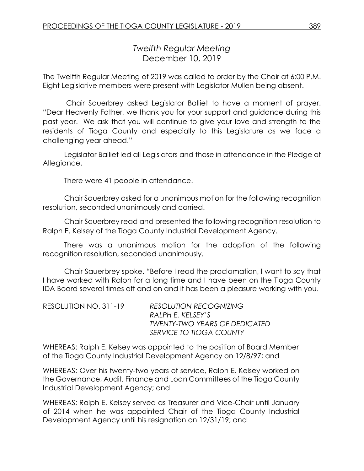# *Twelfth Regular Meeting* December 10, 2019

The Twelfth Regular Meeting of 2019 was called to order by the Chair at 6:00 P.M. Eight Legislative members were present with Legislator Mullen being absent.

Chair Sauerbrey asked Legislator Balliet to have a moment of prayer. "Dear Heavenly Father, we thank you for your support and guidance during this past year. We ask that you will continue to give your love and strength to the residents of Tioga County and especially to this Legislature as we face a challenging year ahead."

Legislator Balliet led all Legislators and those in attendance in the Pledge of Allegiance.

There were 41 people in attendance.

Chair Sauerbrey asked for a unanimous motion for the following recognition resolution, seconded unanimously and carried.

Chair Sauerbrey read and presented the following recognition resolution to Ralph E. Kelsey of the Tioga County Industrial Development Agency.

There was a unanimous motion for the adoption of the following recognition resolution, seconded unanimously.

Chair Sauerbrey spoke. "Before I read the proclamation, I want to say that I have worked with Ralph for a long time and I have been on the Tioga County IDA Board several times off and on and it has been a pleasure working with you.

| RESOLUTION NO. 311-19 | <b>RESOLUTION RECOGNIZING</b>        |
|-----------------------|--------------------------------------|
|                       | RALPH E. KELSEY'S                    |
|                       | <b>TWENTY-TWO YEARS OF DEDICATED</b> |
|                       | SERVICE TO TIOGA COUNTY              |

WHEREAS: Ralph E. Kelsey was appointed to the position of Board Member of the Tioga County Industrial Development Agency on 12/8/97; and

WHEREAS: Over his twenty-two years of service, Ralph E. Kelsey worked on the Governance, Audit, Finance and Loan Committees of the Tioga County Industrial Development Agency; and

WHEREAS: Ralph E. Kelsey served as Treasurer and Vice-Chair until January of 2014 when he was appointed Chair of the Tioga County Industrial Development Agency until his resignation on 12/31/19; and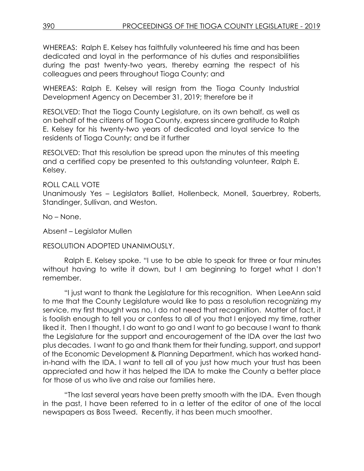WHEREAS: Ralph E. Kelsey has faithfully volunteered his time and has been dedicated and loyal in the performance of his duties and responsibilities during the past twenty-two years, thereby earning the respect of his colleagues and peers throughout Tioga County; and

WHEREAS: Ralph E. Kelsey will resign from the Tioga County Industrial Development Agency on December 31, 2019; therefore be it

RESOLVED: That the Tioga County Legislature, on its own behalf, as well as on behalf of the citizens of Tioga County, express sincere gratitude to Ralph E. Kelsey for his twenty-two years of dedicated and loyal service to the residents of Tioga County; and be it further

RESOLVED: That this resolution be spread upon the minutes of this meeting and a certified copy be presented to this outstanding volunteer, Ralph E. Kelsey.

ROLL CALL VOTE

Unanimously Yes – Legislators Balliet, Hollenbeck, Monell, Sauerbrey, Roberts, Standinger, Sullivan, and Weston.

No – None.

Absent – Legislator Mullen

RESOLUTION ADOPTED UNANIMOUSLY.

Ralph E. Kelsey spoke. "I use to be able to speak for three or four minutes without having to write it down, but I am beginning to forget what I don't remember.

"I just want to thank the Legislature for this recognition. When LeeAnn said to me that the County Legislature would like to pass a resolution recognizing my service, my first thought was no, I do not need that recognition. Matter of fact, it is foolish enough to tell you or confess to all of you that I enjoyed my time, rather liked it. Then I thought, I do want to go and I want to go because I want to thank the Legislature for the support and encouragement of the IDA over the last two plus decades. I want to go and thank them for their funding, support, and support of the Economic Development & Planning Department, which has worked handin-hand with the IDA. I want to tell all of you just how much your trust has been appreciated and how it has helped the IDA to make the County a better place for those of us who live and raise our families here.

"The last several years have been pretty smooth with the IDA. Even though in the past, I have been referred to in a letter of the editor of one of the local newspapers as Boss Tweed. Recently, it has been much smoother.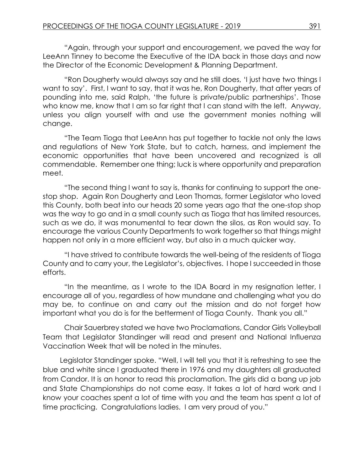"Again, through your support and encouragement, we paved the way for LeeAnn Tinney to become the Executive of the IDA back in those days and now the Director of the Economic Development & Planning Department.

"Ron Dougherty would always say and he still does, 'I just have two things I want to say'. First, I want to say, that it was he, Ron Dougherty, that after years of pounding into me, said Ralph, 'the future is private/public partnerships'. Those who know me, know that I am so far right that I can stand with the left. Anyway, unless you align yourself with and use the government monies nothing will change.

"The Team Tioga that LeeAnn has put together to tackle not only the laws and regulations of New York State, but to catch, harness, and implement the economic opportunities that have been uncovered and recognized is all commendable. Remember one thing; luck is where opportunity and preparation meet.

"The second thing I want to say is, thanks for continuing to support the onestop shop. Again Ron Dougherty and Leon Thomas, former Legislator who loved this County, both beat into our heads 20 some years ago that the one-stop shop was the way to go and in a small county such as Tioga that has limited resources, such as we do, it was monumental to tear down the silos, as Ron would say. To encourage the various County Departments to work together so that things might happen not only in a more efficient way, but also in a much quicker way.

"I have strived to contribute towards the well-being of the residents of Tioga County and to carry your, the Legislator's, objectives. I hope I succeeded in those efforts.

"In the meantime, as I wrote to the IDA Board in my resignation letter, I encourage all of you, regardless of how mundane and challenging what you do may be, to continue on and carry out the mission and do not forget how important what you do is for the betterment of Tioga County. Thank you all."

Chair Sauerbrey stated we have two Proclamations, Candor Girls Volleyball Team that Legislator Standinger will read and present and National Influenza Vaccination Week that will be noted in the minutes.

Legislator Standinger spoke. "Well, I will tell you that it is refreshing to see the blue and white since I graduated there in 1976 and my daughters all graduated from Candor. It is an honor to read this proclamation. The girls did a bang up job and State Championships do not come easy. It takes a lot of hard work and I know your coaches spent a lot of time with you and the team has spent a lot of time practicing. Congratulations ladies. I am very proud of you."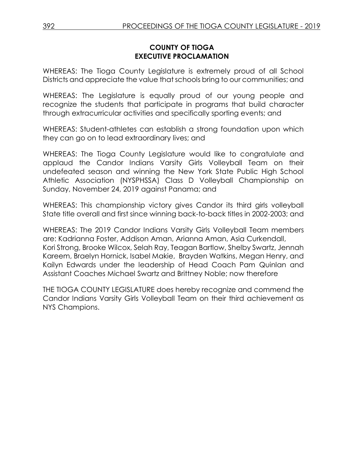### **COUNTY OF TIOGA EXECUTIVE PROCLAMATION**

WHEREAS: The Tioga County Legislature is extremely proud of all School Districts and appreciate the value that schools bring to our communities; and

WHEREAS: The Legislature is equally proud of our young people and recognize the students that participate in programs that build character through extracurricular activities and specifically sporting events; and

WHEREAS: Student-athletes can establish a strong foundation upon which they can go on to lead extraordinary lives; and

WHEREAS: The Tioga County Legislature would like to congratulate and applaud the Candor Indians Varsity Girls Volleyball Team on their undefeated season and winning the New York State Public High School Athletic Association (NYSPHSSA) Class D Volleyball Championship on Sunday, November 24, 2019 against Panama; and

WHEREAS: This championship victory gives Candor its third girls volleyball State title overall and first since winning back-to-back titles in 2002-2003; and

WHEREAS: The 2019 Candor Indians Varsity Girls Volleyball Team members are: Kadrianna Foster, Addison Aman, Arianna Aman, Asia Curkendall, Kori Strong, Brooke Wilcox, Selah Ray, Teagan Bartlow, Shelby Swartz, Jennah Kareem, Braelyn Hornick, Isabel Makie, Brayden Watkins, Megan Henry, and Kailyn Edwards under the leadership of Head Coach Pam Quinlan and Assistant Coaches Michael Swartz and Brittney Noble; now therefore

THE TIOGA COUNTY LEGISLATURE does hereby recognize and commend the Candor Indians Varsity Girls Volleyball Team on their third achievement as NYS Champions.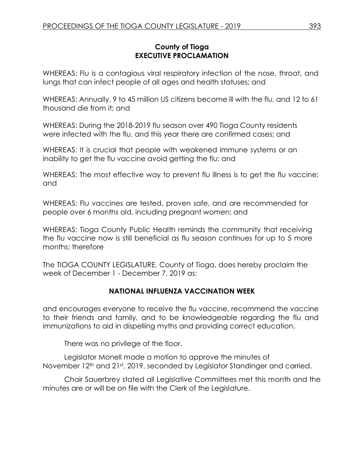### **County of Tioga EXECUTIVE PROCLAMATION**

WHEREAS: Flu is a contagious viral respiratory infection of the nose, throat, and lungs that can infect people of all ages and health statuses; and

WHEREAS: Annually, 9 to 45 million US citizens become ill with the flu, and 12 to 61 thousand die from it; and

WHEREAS: During the 2018-2019 flu season over 490 Tioga County residents were infected with the flu, and this year there are confirmed cases; and

WHEREAS: It is crucial that people with weakened immune systems or an inability to get the flu vaccine avoid getting the flu; and

WHEREAS: The most effective way to prevent flu illness is to get the flu vaccine; and

WHEREAS: Flu vaccines are tested, proven safe, and are recommended for people over 6 months old, including pregnant women; and

WHEREAS: Tioga County Public Health reminds the community that receiving the flu vaccine now is still beneficial as flu season continues for up to 5 more months; therefore

The TIOGA COUNTY LEGISLATURE, County of Tioga, does hereby proclaim the week of December 1 - December 7, 2019 as:

# **NATIONAL INFLUENZA VACCINATION WEEK**

and encourages everyone to receive the flu vaccine, recommend the vaccine to their friends and family, and to be knowledgeable regarding the flu and immunizations to aid in dispelling myths and providing correct education.

There was no privilege of the floor.

Legislator Monell made a motion to approve the minutes of November 12<sup>th</sup> and 21st, 2019, seconded by Legislator Standinger and carried.

Chair Sauerbrey stated all Legislative Committees met this month and the minutes are or will be on file with the Clerk of the Legislature.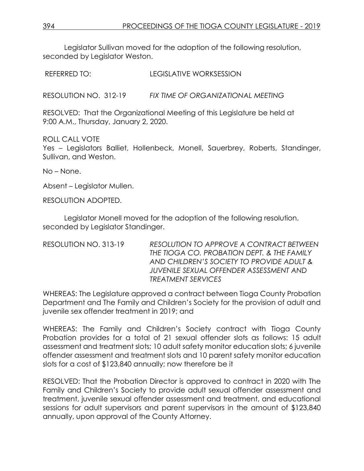Legislator Sullivan moved for the adoption of the following resolution, seconded by Legislator Weston.

REFERRED TO: LEGISLATIVE WORKSESSION

RESOLUTION NO. 312-19 *FIX TIME OF ORGANIZATIONAL MEETING*

RESOLVED: That the Organizational Meeting of this Legislature be held at 9:00 A.M., Thursday, January 2, 2020.

ROLL CALL VOTE Yes – Legislators Balliet, Hollenbeck, Monell, Sauerbrey, Roberts, Standinger, Sullivan, and Weston.

No – None.

Absent – Legislator Mullen.

RESOLUTION ADOPTED.

Legislator Monell moved for the adoption of the following resolution, seconded by Legislator Standinger.

RESOLUTION NO. 313-19 *RESOLUTION TO APPROVE A CONTRACT BETWEEN THE TIOGA CO. PROBATION DEPT. & THE FAMILY AND CHILDREN'S SOCIETY TO PROVIDE ADULT & JUVENILE SEXUAL OFFENDER ASSESSMENT AND TREATMENT SERVICES*

WHEREAS: The Legislature approved a contract between Tioga County Probation Department and The Family and Children's Society for the provision of adult and juvenile sex offender treatment in 2019; and

WHEREAS: The Family and Children's Society contract with Tioga County Probation provides for a total of 21 sexual offender slots as follows: 15 adult assessment and treatment slots; 10 adult safety monitor education slots; 6 juvenile offender assessment and treatment slots and 10 parent safety monitor education slots for a cost of \$123,840 annually; now therefore be it

RESOLVED: That the Probation Director is approved to contract in 2020 with The Family and Children's Society to provide adult sexual offender assessment and treatment, juvenile sexual offender assessment and treatment, and educational sessions for adult supervisors and parent supervisors in the amount of \$123,840 annually, upon approval of the County Attorney.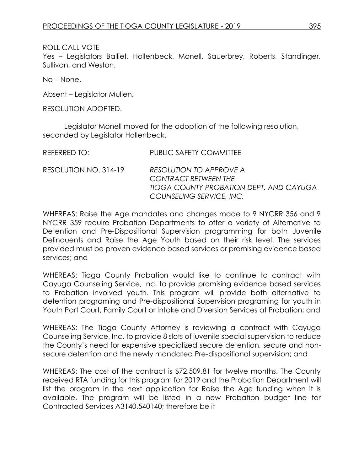ROLL CALL VOTE

Yes – Legislators Balliet, Hollenbeck, Monell, Sauerbrey, Roberts, Standinger, Sullivan, and Weston.

No – None.

Absent – Legislator Mullen.

RESOLUTION ADOPTED.

Legislator Monell moved for the adoption of the following resolution, seconded by Legislator Hollenbeck.

| REFERRED TO:          | <b>PUBLIC SAFETY COMMITTEE</b>                                                                                                |
|-----------------------|-------------------------------------------------------------------------------------------------------------------------------|
| RESOLUTION NO. 314-19 | RESOLUTION TO APPROVE A<br><b>CONTRACT BETWEEN THE</b><br>TIOGA COUNTY PROBATION DEPT. AND CAYUGA<br>COUNSELING SERVICE, INC. |

WHEREAS: Raise the Age mandates and changes made to 9 NYCRR 356 and 9 NYCRR 359 require Probation Departments to offer a variety of Alternative to Detention and Pre-Dispositional Supervision programming for both Juvenile Delinquents and Raise the Age Youth based on their risk level. The services provided must be proven evidence based services or promising evidence based services; and

WHEREAS: Tioga County Probation would like to continue to contract with Cayuga Counseling Service, Inc. to provide promising evidence based services to Probation involved youth. This program will provide both alternative to detention programing and Pre-dispositional Supervision programing for youth in Youth Part Court, Family Court or Intake and Diversion Services at Probation; and

WHEREAS: The Tioga County Attorney is reviewing a contract with Cayuga Counseling Service, Inc. to provide 8 slots of juvenile special supervision to reduce the County's need for expensive specialized secure detention, secure and nonsecure detention and the newly mandated Pre-dispositional supervision; and

WHEREAS: The cost of the contract is \$72,509.81 for twelve months. The County received RTA funding for this program for 2019 and the Probation Department will list the program in the next application for Raise the Age funding when it is available. The program will be listed in a new Probation budget line for Contracted Services A3140.540140; therefore be it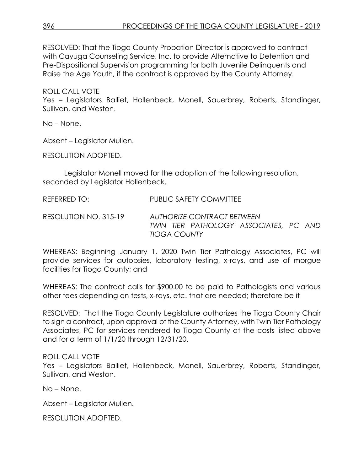RESOLVED: That the Tioga County Probation Director is approved to contract with Cayuga Counseling Service, Inc. to provide Alternative to Detention and Pre-Dispositional Supervision programming for both Juvenile Delinquents and Raise the Age Youth, if the contract is approved by the County Attorney.

ROLL CALL VOTE

Yes – Legislators Balliet, Hollenbeck, Monell, Sauerbrey, Roberts, Standinger, Sullivan, and Weston.

No – None.

Absent – Legislator Mullen.

RESOLUTION ADOPTED.

Legislator Monell moved for the adoption of the following resolution, seconded by Legislator Hollenbeck.

REFERRED TO: PUBLIC SAFETY COMMITTEE

RESOLUTION NO. 315-19 *AUTHORIZE CONTRACT BETWEEN TWIN TIER PATHOLOGY ASSOCIATES, PC AND TIOGA COUNTY*

WHEREAS: Beginning January 1, 2020 Twin Tier Pathology Associates, PC will provide services for autopsies, laboratory testing, x-rays, and use of morgue facilities for Tioga County; and

WHEREAS: The contract calls for \$900.00 to be paid to Pathologists and various other fees depending on tests, x-rays, etc. that are needed; therefore be it

RESOLVED: That the Tioga County Legislature authorizes the Tioga County Chair to sign a contract, upon approval of the County Attorney, with Twin Tier Pathology Associates, PC for services rendered to Tioga County at the costs listed above and for a term of 1/1/20 through 12/31/20.

### ROLL CALL VOTE

Yes – Legislators Balliet, Hollenbeck, Monell, Sauerbrey, Roberts, Standinger, Sullivan, and Weston.

No – None.

Absent – Legislator Mullen.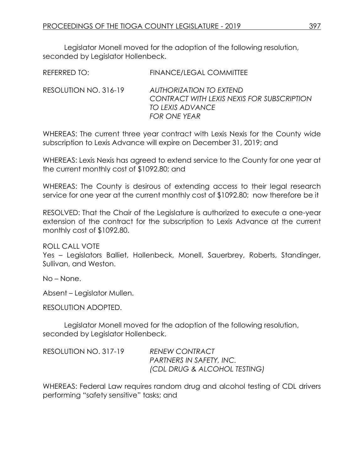REFERRED TO: FINANCE/LEGAL COMMITTEE

Legislator Monell moved for the adoption of the following resolution, seconded by Legislator Hollenbeck.

| RESOLUTION NO. 316-19 | AUTHORIZATION TO EXTEND<br>CONTRACT WITH LEXIS NEXIS FOR SUBSCRIPTION<br>TO LEXIS ADVANCE |
|-----------------------|-------------------------------------------------------------------------------------------|
|                       | FOR ONE YEAR                                                                              |

WHEREAS: The current three year contract with Lexis Nexis for the County wide subscription to Lexis Advance will expire on December 31, 2019; and

WHEREAS: Lexis Nexis has agreed to extend service to the County for one year at the current monthly cost of \$1092.80; and

WHEREAS: The County is desirous of extending access to their legal research service for one year at the current monthly cost of \$1092.80; now therefore be it

RESOLVED: That the Chair of the Legislature is authorized to execute a one-year extension of the contract for the subscription to Lexis Advance at the current monthly cost of \$1092.80.

ROLL CALL VOTE

Yes – Legislators Balliet, Hollenbeck, Monell, Sauerbrey, Roberts, Standinger, Sullivan, and Weston.

No – None.

Absent – Legislator Mullen.

RESOLUTION ADOPTED.

Legislator Monell moved for the adoption of the following resolution, seconded by Legislator Hollenbeck.

| RESOLUTION NO. 317-19 | <b>RENEW CONTRACT</b>           |
|-----------------------|---------------------------------|
|                       | <b>PARTNERS IN SAFETY, INC.</b> |
|                       | (CDL DRUG & ALCOHOL TESTING)    |

WHEREAS: Federal Law requires random drug and alcohol testing of CDL drivers performing "safety sensitive" tasks; and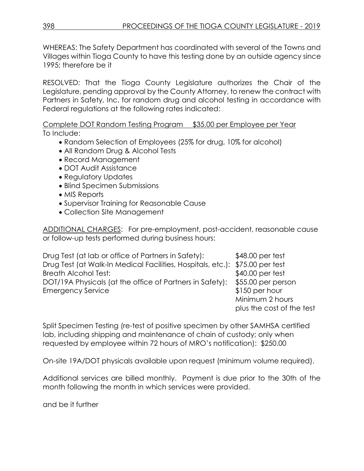WHEREAS: The Safety Department has coordinated with several of the Towns and Villages within Tioga County to have this testing done by an outside agency since 1995; therefore be it

RESOLVED: That the Tioga County Legislature authorizes the Chair of the Legislature, pending approval by the County Attorney, to renew the contract with Partners in Safety, Inc. for random drug and alcohol testing in accordance with Federal regulations at the following rates indicated:

Complete DOT Random Testing Program \$35.00 per Employee per Year To Include:

- Random Selection of Employees (25% for drug, 10% for alcohol)
- All Random Drug & Alcohol Tests
- Record Management
- DOT Audit Assistance
- Regulatory Updates
- Blind Specimen Submissions
- MIS Reports
- Supervisor Training for Reasonable Cause
- Collection Site Management

ADDITIONAL CHARGES: For pre-employment, post-accident, reasonable cause or follow-up tests performed during business hours:

| Drug Test (at lab or office of Partners in Safety):                          | \$48.00 per test          |
|------------------------------------------------------------------------------|---------------------------|
| Drug Test (at Walk-In Medical Facilities, Hospitals, etc.): \$75.00 per test |                           |
| <b>Breath Alcohol Test:</b>                                                  | $$40.00$ per test         |
| DOT/19A Physicals (at the office of Partners in Safety):                     | \$55.00 per person        |
| <b>Emergency Service</b>                                                     | \$150 per hour            |
|                                                                              | Minimum 2 hours           |
|                                                                              | plus the cost of the test |

Split Specimen Testing (re-test of positive specimen by other SAMHSA certified lab, including shipping and maintenance of chain of custody; only when requested by employee within 72 hours of MRO's notification): \$250.00

On-site 19A/DOT physicals available upon request (minimum volume required).

Additional services are billed monthly. Payment is due prior to the 30th of the month following the month in which services were provided.

and be it further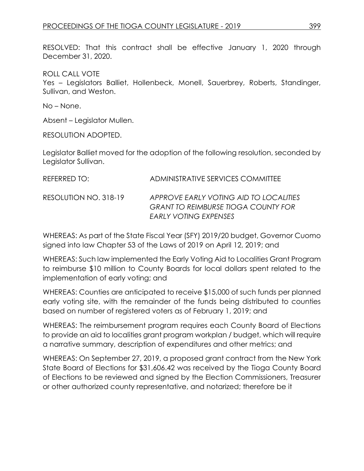RESOLVED: That this contract shall be effective January 1, 2020 through December 31, 2020.

ROLL CALL VOTE Yes – Legislators Balliet, Hollenbeck, Monell, Sauerbrey, Roberts, Standinger, Sullivan, and Weston.

No – None.

Absent – Legislator Mullen.

RESOLUTION ADOPTED.

Legislator Balliet moved for the adoption of the following resolution, seconded by Legislator Sullivan.

| REFERRED TO:          | ADMINISTRATIVE SERVICES COMMITTEE                                                                             |
|-----------------------|---------------------------------------------------------------------------------------------------------------|
| RESOLUTION NO. 318-19 | APPROVE EARLY VOTING AID TO LOCALITIES<br><b>GRANT TO REIMBURSE TIOGA COUNTY FOR</b><br>EARLY VOTING EXPENSES |

WHEREAS: As part of the State Fiscal Year (SFY) 2019/20 budget, Governor Cuomo signed into law Chapter 53 of the Laws of 2019 on April 12, 2019; and

WHEREAS: Such law implemented the Early Voting Aid to Localities Grant Program to reimburse \$10 million to County Boards for local dollars spent related to the implementation of early voting; and

WHEREAS: Counties are anticipated to receive \$15,000 of such funds per planned early voting site, with the remainder of the funds being distributed to counties based on number of registered voters as of February 1, 2019; and

WHEREAS: The reimbursement program requires each County Board of Elections to provide an aid to localities grant program workplan / budget, which will require a narrative summary, description of expenditures and other metrics; and

WHEREAS: On September 27, 2019, a proposed grant contract from the New York State Board of Elections for \$31,606.42 was received by the Tioga County Board of Elections to be reviewed and signed by the Election Commissioners, Treasurer or other authorized county representative, and notarized; therefore be it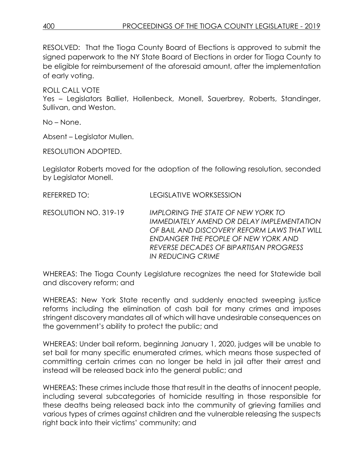RESOLVED: That the Tioga County Board of Elections is approved to submit the signed paperwork to the NY State Board of Elections in order for Tioga County to be eligible for reimbursement of the aforesaid amount, after the implementation of early voting.

ROLL CALL VOTE Yes – Legislators Balliet, Hollenbeck, Monell, Sauerbrey, Roberts, Standinger, Sullivan, and Weston.

No – None.

Absent – Legislator Mullen.

RESOLUTION ADOPTED.

Legislator Roberts moved for the adoption of the following resolution, seconded by Legislator Monell.

REFERRED TO: LEGISLATIVE WORKSESSION

RESOLUTION NO. 319-19 *IMPLORING THE STATE OF NEW YORK TO IMMEDIATELY AMEND OR DELAY IMPLEMENTATION OF BAIL AND DISCOVERY REFORM LAWS THAT WILL ENDANGER THE PEOPLE OF NEW YORK AND REVERSE DECADES OF BIPARTISAN PROGRESS IN REDUCING CRIME*

WHEREAS: The Tioga County Legislature recognizes the need for Statewide bail and discovery reform; and

WHEREAS: New York State recently and suddenly enacted sweeping justice reforms including the elimination of cash bail for many crimes and imposes stringent discovery mandates all of which will have undesirable consequences on the government's ability to protect the public; and

WHEREAS: Under bail reform, beginning January 1, 2020, judges will be unable to set bail for many specific enumerated crimes, which means those suspected of committing certain crimes can no longer be held in jail after their arrest and instead will be released back into the general public; and

WHEREAS: These crimes include those that result in the deaths of innocent people, including several subcategories of homicide resulting in those responsible for these deaths being released back into the community of grieving families and various types of crimes against children and the vulnerable releasing the suspects right back into their victims' community; and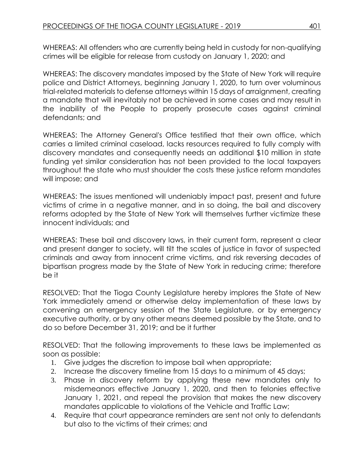WHEREAS: All offenders who are currently being held in custody for non-qualifying crimes will be eligible for release from custody on January 1, 2020; and

WHEREAS: The discovery mandates imposed by the State of New York will require police and District Attorneys, beginning January 1, 2020, to turn over voluminous trial-related materials to defense attorneys within 15 days of arraignment, creating a mandate that will inevitably not be achieved in some cases and may result in the inability of the People to properly prosecute cases against criminal defendants; and

WHEREAS: The Attorney General's Office testified that their own office, which carries a limited criminal caseload, lacks resources required to fully comply with discovery mandates and consequently needs an additional \$10 million in state funding yet similar consideration has not been provided to the local taxpayers throughout the state who must shoulder the costs these justice reform mandates will impose; and

WHEREAS: The issues mentioned will undeniably impact past, present and future victims of crime in a negative manner, and in so doing, the bail and discovery reforms adopted by the State of New York will themselves further victimize these innocent individuals; and

WHEREAS: These bail and discovery laws, in their current form, represent a clear and present danger to society, will tilt the scales of justice in favor of suspected criminals and away from innocent crime victims, and risk reversing decades of bipartisan progress made by the State of New York in reducing crime; therefore be it

RESOLVED: That the Tioga County Legislature hereby implores the State of New York immediately amend or otherwise delay implementation of these laws by convening an emergency session of the State Legislature, or by emergency executive authority, or by any other means deemed possible by the State, and to do so before December 31, 2019; and be it further

RESOLVED: That the following improvements to these laws be implemented as soon as possible:

- 1. Give judges the discretion to impose bail when appropriate;
- 2. Increase the discovery timeline from 15 days to a minimum of 45 days;
- 3. Phase in discovery reform by applying these new mandates only to misdemeanors effective January 1, 2020, and then to felonies effective January 1, 2021, and repeal the provision that makes the new discovery mandates applicable to violations of the Vehicle and Traffic Law;
- 4. Require that court appearance reminders are sent not only to defendants but also to the victims of their crimes; and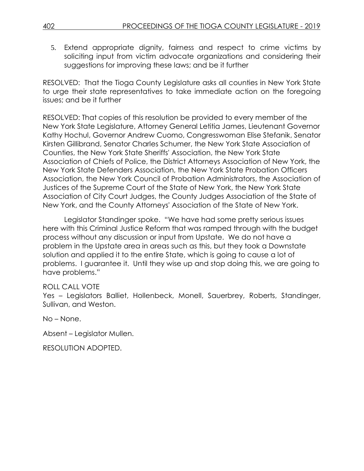5. Extend appropriate dignity, fairness and respect to crime victims by soliciting input from victim advocate organizations and considering their suggestions for improving these laws; and be it further

RESOLVED: That the Tioga County Legislature asks all counties in New York State to urge their state representatives to take immediate action on the foregoing issues; and be it further

RESOLVED: That copies of this resolution be provided to every member of the New York State Legislature, Attorney General Letitia James, Lieutenant Governor Kathy Hochul, Governor Andrew Cuomo, Congresswoman Elise Stefanik, Senator Kirsten Gillibrand, Senator Charles Schumer, the New York State Association of Counties, the New York State Sheriffs' Association, the New York State Association of Chiefs of Police, the District Attorneys Association of New York, the New York State Defenders Association, the New York State Probation Officers Association, the New York Council of Probation Administrators, the Association of Justices of the Supreme Court of the State of New York, the New York State Association of City Court Judges, the County Judges Association of the State of New York, and the County Attorneys' Association of the State of New York.

Legislator Standinger spoke. "We have had some pretty serious issues here with this Criminal Justice Reform that was ramped through with the budget process without any discussion or input from Upstate. We do not have a problem in the Upstate area in areas such as this, but they took a Downstate solution and applied it to the entire State, which is going to cause a lot of problems. I guarantee it. Until they wise up and stop doing this, we are going to have problems."

# ROLL CALL VOTE

Yes – Legislators Balliet, Hollenbeck, Monell, Sauerbrey, Roberts, Standinger, Sullivan, and Weston.

No – None.

Absent – Legislator Mullen.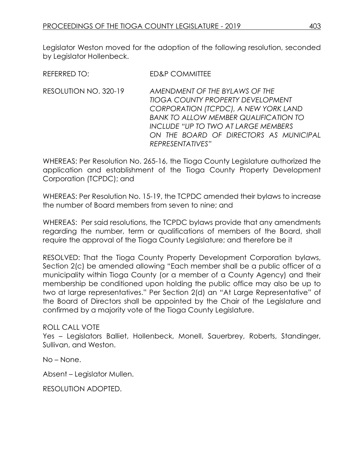REFERRED TO: FD&P COMMITTEE

RESOLUTION NO. 320-19 *AMENDMENT OF THE BYLAWS OF THE TIOGA COUNTY PROPERTY DEVELOPMENT CORPORATION (TCPDC), A NEW YORK LAND BANK TO ALLOW MEMBER QUALIFICATION TO INCLUDE "UP TO TWO AT LARGE MEMBERS ON THE BOARD OF DIRECTORS AS MUNICIPAL REPRESENTATIVES"*

WHEREAS: Per Resolution No. 265-16, the Tioga County Legislature authorized the application and establishment of the Tioga County Property Development Corporation (TCPDC); and

WHEREAS: Per Resolution No. 15-19, the TCPDC amended their bylaws to increase the number of Board members from seven to nine; and

WHEREAS: Per said resolutions, the TCPDC bylaws provide that any amendments regarding the number, term or qualifications of members of the Board, shall require the approval of the Tioga County Legislature; and therefore be it

RESOLVED: That the Tioga County Property Development Corporation bylaws, Section 2(c) be amended allowing "Each member shall be a public officer of a municipality within Tioga County (or a member of a County Agency) and their membership be conditioned upon holding the public office may also be up to two at large representatives." Per Section 2(d) an "At Large Representative" of the Board of Directors shall be appointed by the Chair of the Legislature and confirmed by a majority vote of the Tioga County Legislature.

ROLL CALL VOTE

Yes – Legislators Balliet, Hollenbeck, Monell, Sauerbrey, Roberts, Standinger, Sullivan, and Weston.

No – None.

Absent – Legislator Mullen.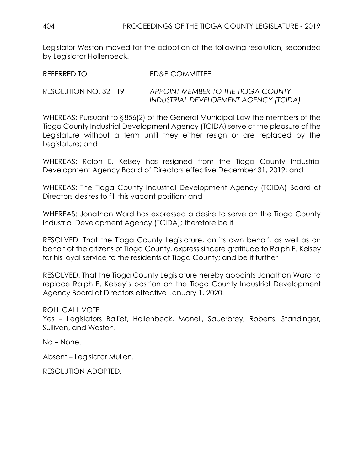| REFERRED TO:          | ED&P COMMITTEE                        |
|-----------------------|---------------------------------------|
| RESOLUTION NO. 321-19 | APPOINT MEMBER TO THE TIOGA COUNTY    |
|                       | INDUSTRIAL DEVELOPMENT AGENCY (TCIDA) |

WHEREAS: Pursuant to §856(2) of the General Municipal Law the members of the Tioga County Industrial Development Agency (TCIDA) serve at the pleasure of the Legislature without a term until they either resign or are replaced by the Legislature; and

WHEREAS: Ralph E. Kelsey has resigned from the Tioga County Industrial Development Agency Board of Directors effective December 31, 2019; and

WHEREAS: The Tioga County Industrial Development Agency (TCIDA) Board of Directors desires to fill this vacant position; and

WHEREAS: Jonathan Ward has expressed a desire to serve on the Tioga County Industrial Development Agency (TCIDA); therefore be it

RESOLVED: That the Tioga County Legislature, on its own behalf, as well as on behalf of the citizens of Tioga County, express sincere gratitude to Ralph E. Kelsey for his loyal service to the residents of Tioga County; and be it further

RESOLVED: That the Tioga County Legislature hereby appoints Jonathan Ward to replace Ralph E. Kelsey's position on the Tioga County Industrial Development Agency Board of Directors effective January 1, 2020.

# ROLL CALL VOTE

Yes – Legislators Balliet, Hollenbeck, Monell, Sauerbrey, Roberts, Standinger, Sullivan, and Weston.

No – None.

Absent – Legislator Mullen.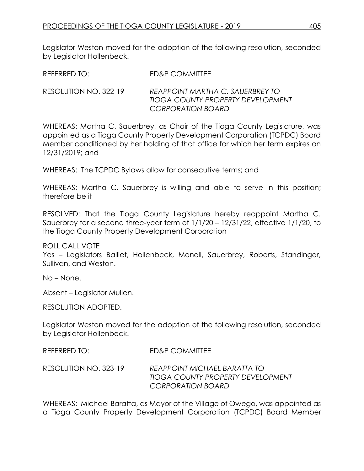RESOLUTION NO. 322-19 *REAPPOINT MARTHA C. SAUERBREY TO TIOGA COUNTY PROPERTY DEVELOPMENT CORPORATION BOARD*

WHEREAS: Martha C. Sauerbrey, as Chair of the Tioga County Legislature, was appointed as a Tioga County Property Development Corporation (TCPDC) Board Member conditioned by her holding of that office for which her term expires on 12/31/2019; and

WHEREAS: The TCPDC Bylaws allow for consecutive terms; and

WHEREAS: Martha C. Sauerbrey is willing and able to serve in this position; therefore be it

RESOLVED: That the Tioga County Legislature hereby reappoint Martha C. Sauerbrey for a second three-year term of 1/1/20 – 12/31/22, effective 1/1/20, to the Tioga County Property Development Corporation

ROLL CALL VOTE Yes – Legislators Balliet, Hollenbeck, Monell, Sauerbrey, Roberts, Standinger, Sullivan, and Weston.

No – None.

Absent – Legislator Mullen.

RESOLUTION ADOPTED.

Legislator Weston moved for the adoption of the following resolution, seconded by Legislator Hollenbeck.

| REFERRED TO:          | ED&P COMMITTEE                                                                         |
|-----------------------|----------------------------------------------------------------------------------------|
| RESOLUTION NO. 323-19 | REAPPOINT MICHAEL BARATTA TO<br>TIOGA COUNTY PROPERTY DEVELOPMENT<br>CORPORATION BOARD |

WHEREAS: Michael Baratta, as Mayor of the Village of Owego, was appointed as a Tioga County Property Development Corporation (TCPDC) Board Member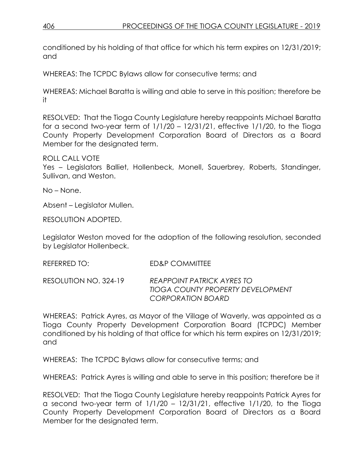conditioned by his holding of that office for which his term expires on 12/31/2019; and

WHEREAS: The TCPDC Bylaws allow for consecutive terms; and

WHEREAS: Michael Baratta is willing and able to serve in this position; therefore be it

RESOLVED: That the Tioga County Legislature hereby reappoints Michael Baratta for a second two-year term of  $1/1/20 - 12/31/21$ , effective  $1/1/20$ , to the Tioga County Property Development Corporation Board of Directors as a Board Member for the designated term.

ROLL CALL VOTE

Yes – Legislators Balliet, Hollenbeck, Monell, Sauerbrey, Roberts, Standinger, Sullivan, and Weston.

No – None.

Absent – Legislator Mullen.

RESOLUTION ADOPTED.

Legislator Weston moved for the adoption of the following resolution, seconded by Legislator Hollenbeck.

REFERRED TO: ED&P COMMITTEE

RESOLUTION NO. 324-19 *REAPPOINT PATRICK AYRES TO TIOGA COUNTY PROPERTY DEVELOPMENT CORPORATION BOARD*

WHEREAS: Patrick Ayres, as Mayor of the Village of Waverly, was appointed as a Tioga County Property Development Corporation Board (TCPDC) Member conditioned by his holding of that office for which his term expires on 12/31/2019; and

WHEREAS: The TCPDC Bylaws allow for consecutive terms; and

WHEREAS: Patrick Ayres is willing and able to serve in this position; therefore be it

RESOLVED: That the Tioga County Legislature hereby reappoints Patrick Ayres for a second two-year term of  $1/1/20 - 12/31/21$ , effective  $1/1/20$ , to the Tioga County Property Development Corporation Board of Directors as a Board Member for the designated term.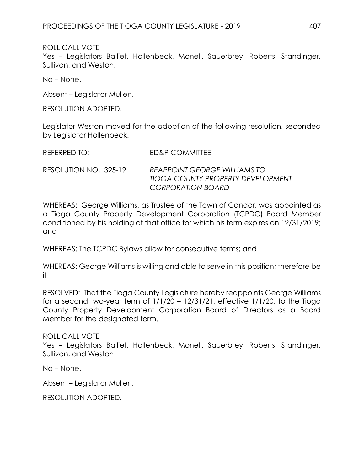ROLL CALL VOTE

Yes – Legislators Balliet, Hollenbeck, Monell, Sauerbrey, Roberts, Standinger, Sullivan, and Weston.

No – None.

Absent – Legislator Mullen.

RESOLUTION ADOPTED.

Legislator Weston moved for the adoption of the following resolution, seconded by Legislator Hollenbeck.

| REFERRED TO:          | ED&P COMMITTEE                                                                         |
|-----------------------|----------------------------------------------------------------------------------------|
| RESOLUTION NO. 325-19 | REAPPOINT GEORGE WILLIAMS TO<br>TIOGA COUNTY PROPERTY DEVELOPMENT<br>CORPORATION BOARD |

WHEREAS: George Williams, as Trustee of the Town of Candor, was appointed as a Tioga County Property Development Corporation (TCPDC) Board Member conditioned by his holding of that office for which his term expires on 12/31/2019; and

WHEREAS: The TCPDC Bylaws allow for consecutive terms; and

WHEREAS: George Williams is willing and able to serve in this position; therefore be it

RESOLVED: That the Tioga County Legislature hereby reappoints George Williams for a second two-year term of  $1/1/20 - 12/31/21$ , effective  $1/1/20$ , to the Tioga County Property Development Corporation Board of Directors as a Board Member for the designated term.

ROLL CALL VOTE

Yes – Legislators Balliet, Hollenbeck, Monell, Sauerbrey, Roberts, Standinger, Sullivan, and Weston.

No – None.

Absent – Legislator Mullen.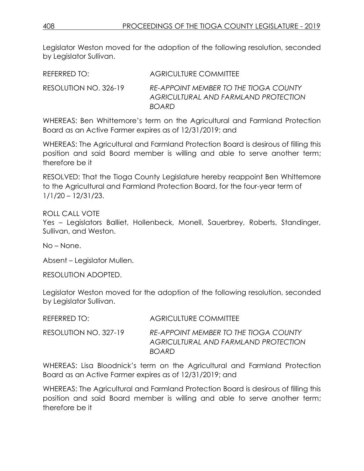| REFERRED TO:          | <b>AGRICULTURE COMMITTEE</b>                                                                  |
|-----------------------|-----------------------------------------------------------------------------------------------|
| RESOLUTION NO. 326-19 | RE-APPOINT MEMBER TO THE TIOGA COUNTY<br>AGRICULTURAL AND FARMLAND PROTECTION<br><b>BOARD</b> |

WHEREAS: Ben Whittemore's term on the Agricultural and Farmland Protection Board as an Active Farmer expires as of 12/31/2019; and

WHEREAS: The Agricultural and Farmland Protection Board is desirous of filling this position and said Board member is willing and able to serve another term; therefore be it

RESOLVED: That the Tioga County Legislature hereby reappoint Ben Whittemore to the Agricultural and Farmland Protection Board, for the four-year term of 1/1/20 – 12/31/23.

ROLL CALL VOTE Yes – Legislators Balliet, Hollenbeck, Monell, Sauerbrey, Roberts, Standinger, Sullivan, and Weston.

No – None.

Absent – Legislator Mullen.

RESOLUTION ADOPTED.

Legislator Weston moved for the adoption of the following resolution, seconded by Legislator Sullivan.

| REFERRED TO:          | <b>AGRICULTURE COMMITTEE</b>                                                                         |
|-----------------------|------------------------------------------------------------------------------------------------------|
| RESOLUTION NO. 327-19 | <b>RE-APPOINT MEMBER TO THE TIOGA COUNTY</b><br>AGRICULTURAL AND FARMLAND PROTECTION<br><b>BOARD</b> |

WHEREAS: Lisa Bloodnick's term on the Agricultural and Farmland Protection Board as an Active Farmer expires as of 12/31/2019; and

WHEREAS: The Agricultural and Farmland Protection Board is desirous of filling this position and said Board member is willing and able to serve another term; therefore be it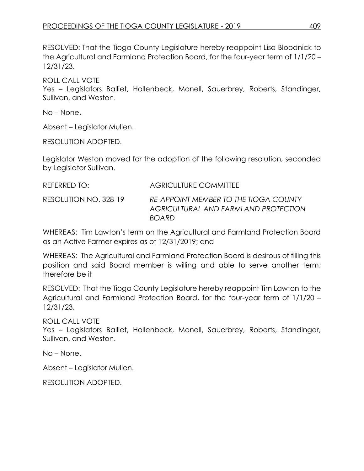RESOLVED: That the Tioga County Legislature hereby reappoint Lisa Bloodnick to the Agricultural and Farmland Protection Board, for the four-year term of 1/1/20 – 12/31/23.

ROLL CALL VOTE Yes – Legislators Balliet, Hollenbeck, Monell, Sauerbrey, Roberts, Standinger, Sullivan, and Weston.

No – None.

Absent – Legislator Mullen.

RESOLUTION ADOPTED.

Legislator Weston moved for the adoption of the following resolution, seconded by Legislator Sullivan.

| REFERRED TO:          | AGRICULTURE COMMITTEE                                                                         |
|-----------------------|-----------------------------------------------------------------------------------------------|
| RESOLUTION NO. 328-19 | RE-APPOINT MEMBER TO THE TIOGA COUNTY<br>AGRICULTURAL AND FARMLAND PROTECTION<br><b>BOARD</b> |

WHEREAS: Tim Lawton's term on the Agricultural and Farmland Protection Board as an Active Farmer expires as of 12/31/2019; and

WHEREAS: The Agricultural and Farmland Protection Board is desirous of filling this position and said Board member is willing and able to serve another term; therefore be it

RESOLVED: That the Tioga County Legislature hereby reappoint Tim Lawton to the Agricultural and Farmland Protection Board, for the four-year term of 1/1/20 – 12/31/23.

ROLL CALL VOTE

Yes – Legislators Balliet, Hollenbeck, Monell, Sauerbrey, Roberts, Standinger, Sullivan, and Weston.

No – None.

Absent – Legislator Mullen.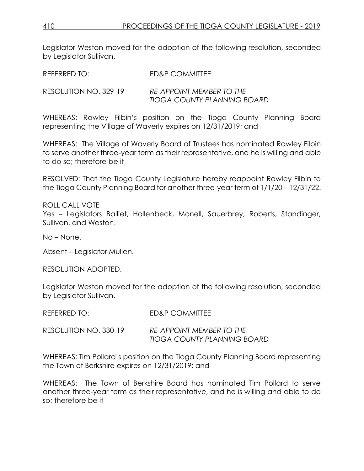| REFERRED TO:          | ED&P COMMITTEE                                          |
|-----------------------|---------------------------------------------------------|
| RESOLUTION NO. 329-19 | RE-APPOINT MEMBER TO THE<br>TIOGA COUNTY PLANNING BOARD |

WHEREAS: Rawley Filbin's position on the Tioga County Planning Board representing the Village of Waverly expires on 12/31/2019; and

WHEREAS: The Village of Waverly Board of Trustees has nominated Rawley Filbin to serve another three-year term as their representative, and he is willing and able to do so; therefore be it

RESOLVED: That the Tioga County Legislature hereby reappoint Rawley Filbin to the Tioga County Planning Board for another three-year term of 1/1/20 – 12/31/22.

ROLL CALL VOTE Yes – Legislators Balliet, Hollenbeck, Monell, Sauerbrey, Roberts, Standinger, Sullivan, and Weston.

No – None.

Absent – Legislator Mullen.

RESOLUTION ADOPTED.

Legislator Weston moved for the adoption of the following resolution, seconded by Legislator Sullivan.

| REFERRED TO:          | ED&P COMMITTEE                                                 |
|-----------------------|----------------------------------------------------------------|
| RESOLUTION NO. 330-19 | <b>RE-APPOINT MEMBER TO THE</b><br>TIOGA COUNTY PLANNING BOARD |

WHEREAS: Tim Pollard's position on the Tioga County Planning Board representing the Town of Berkshire expires on 12/31/2019; and

WHEREAS: The Town of Berkshire Board has nominated Tim Pollard to serve another three-year term as their representative, and he is willing and able to do so; therefore be it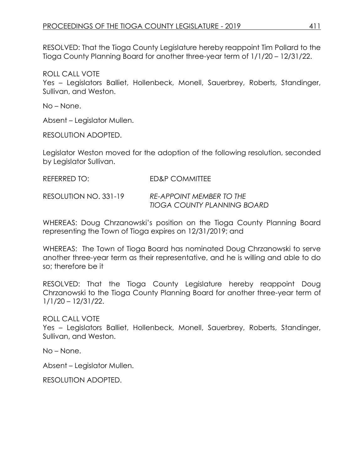RESOLVED: That the Tioga County Legislature hereby reappoint Tim Pollard to the Tioga County Planning Board for another three-year term of 1/1/20 – 12/31/22.

ROLL CALL VOTE

Yes – Legislators Balliet, Hollenbeck, Monell, Sauerbrey, Roberts, Standinger, Sullivan, and Weston.

No – None.

Absent – Legislator Mullen.

RESOLUTION ADOPTED.

Legislator Weston moved for the adoption of the following resolution, seconded by Legislator Sullivan.

| <b>REFERRED TO:</b> | <b>ED&amp;P COMMITTEE</b> |
|---------------------|---------------------------|
|---------------------|---------------------------|

RESOLUTION NO. 331-19 *RE-APPOINT MEMBER TO THE TIOGA COUNTY PLANNING BOARD*

WHEREAS: Doug Chrzanowski's position on the Tioga County Planning Board representing the Town of Tioga expires on 12/31/2019; and

WHEREAS: The Town of Tioga Board has nominated Doug Chrzanowski to serve another three-year term as their representative, and he is willing and able to do so; therefore be it

RESOLVED: That the Tioga County Legislature hereby reappoint Doug Chrzanowski to the Tioga County Planning Board for another three-year term of 1/1/20 – 12/31/22.

ROLL CALL VOTE

Yes – Legislators Balliet, Hollenbeck, Monell, Sauerbrey, Roberts, Standinger, Sullivan, and Weston.

No – None.

Absent – Legislator Mullen.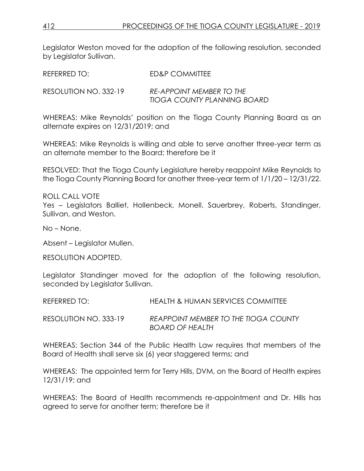| REFERRED TO:          | ED&P COMMITTEE                                          |
|-----------------------|---------------------------------------------------------|
| RESOLUTION NO. 332-19 | RE-APPOINT MEMBER TO THE<br>TIOGA COUNTY PLANNING BOARD |

WHEREAS: Mike Reynolds' position on the Tioga County Planning Board as an alternate expires on 12/31/2019; and

WHEREAS: Mike Reynolds is willing and able to serve another three-year term as an alternate member to the Board; therefore be it

RESOLVED: That the Tioga County Legislature hereby reappoint Mike Reynolds to the Tioga County Planning Board for another three-year term of 1/1/20 – 12/31/22.

ROLL CALL VOTE Yes – Legislators Balliet, Hollenbeck, Monell, Sauerbrey, Roberts, Standinger, Sullivan, and Weston.

No – None.

Absent – Legislator Mullen.

RESOLUTION ADOPTED.

Legislator Standinger moved for the adoption of the following resolution, seconded by Legislator Sullivan.

REFERRED TO: HEALTH & HUMAN SERVICES COMMITTEE

RESOLUTION NO. 333-19 *REAPPOINT MEMBER TO THE TIOGA COUNTY BOARD OF HEALTH*

WHEREAS: Section 344 of the Public Health Law requires that members of the Board of Health shall serve six (6) year staggered terms; and

WHEREAS: The appointed term for Terry Hills, DVM, on the Board of Health expires 12/31/19; and

WHEREAS: The Board of Health recommends re-appointment and Dr. Hills has agreed to serve for another term; therefore be it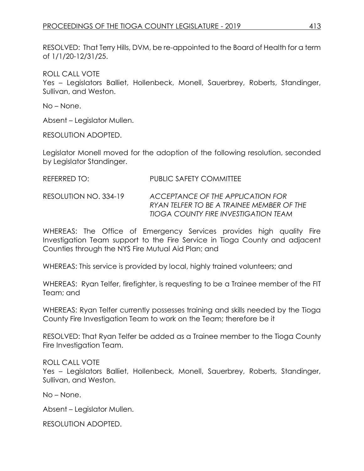RESOLVED: That Terry Hills, DVM, be re-appointed to the Board of Health for a term of 1/1/20-12/31/25.

ROLL CALL VOTE

Yes – Legislators Balliet, Hollenbeck, Monell, Sauerbrey, Roberts, Standinger, Sullivan, and Weston.

No – None.

Absent – Legislator Mullen.

RESOLUTION ADOPTED.

Legislator Monell moved for the adoption of the following resolution, seconded by Legislator Standinger.

### REFERRED TO: PUBLIC SAFETY COMMITTEE

RESOLUTION NO. 334-19 *ACCEPTANCE OF THE APPLICATION FOR RYAN TELFER TO BE A TRAINEE MEMBER OF THE TIOGA COUNTY FIRE INVESTIGATION TEAM*

WHEREAS: The Office of Emergency Services provides high quality Fire Investigation Team support to the Fire Service in Tioga County and adjacent Counties through the NYS Fire Mutual Aid Plan; and

WHEREAS: This service is provided by local, highly trained volunteers; and

WHEREAS: Ryan Telfer, firefighter, is requesting to be a Trainee member of the FIT Team; and

WHEREAS: Ryan Telfer currently possesses training and skills needed by the Tioga County Fire Investigation Team to work on the Team; therefore be it

RESOLVED: That Ryan Telfer be added as a Trainee member to the Tioga County Fire Investigation Team.

ROLL CALL VOTE Yes – Legislators Balliet, Hollenbeck, Monell, Sauerbrey, Roberts, Standinger, Sullivan, and Weston.

No – None.

Absent – Legislator Mullen.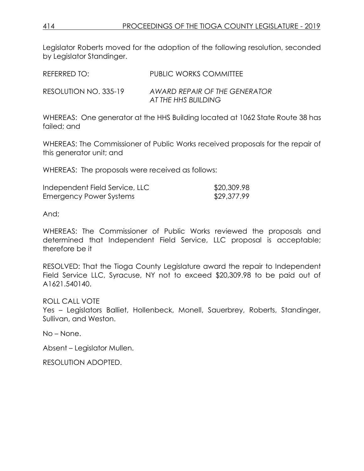Legislator Roberts moved for the adoption of the following resolution, seconded by Legislator Standinger.

| REFERRED TO:          | PUBLIC WORKS COMMITTEE                               |
|-----------------------|------------------------------------------------------|
| RESOLUTION NO. 335-19 | AWARD REPAIR OF THE GENERATOR<br>AT THE HHS BUILDING |

WHEREAS: One generator at the HHS Building located at 1062 State Route 38 has failed; and

WHEREAS: The Commissioner of Public Works received proposals for the repair of this generator unit; and

WHEREAS: The proposals were received as follows:

| Independent Field Service, LLC | \$20,309.98 |
|--------------------------------|-------------|
| Emergency Power Systems        | \$29,377.99 |

And;

WHEREAS: The Commissioner of Public Works reviewed the proposals and determined that Independent Field Service, LLC proposal is acceptable; therefore be it

RESOLVED: That the Tioga County Legislature award the repair to Independent Field Service LLC, Syracuse, NY not to exceed \$20,309.98 to be paid out of A1621.540140.

ROLL CALL VOTE

Yes – Legislators Balliet, Hollenbeck, Monell, Sauerbrey, Roberts, Standinger, Sullivan, and Weston.

No – None.

Absent – Legislator Mullen.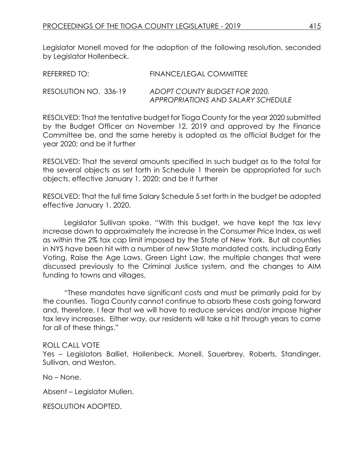| REFERRED TO:          | FINANCE/LEGAL COMMITTEE                                             |
|-----------------------|---------------------------------------------------------------------|
| RESOLUTION NO. 336-19 | ADOPT COUNTY BUDGET FOR 2020,<br>APPROPRIATIONS AND SALARY SCHEDULE |

RESOLVED: That the tentative budget for Tioga County for the year 2020 submitted by the Budget Officer on November 12, 2019 and approved by the Finance Committee be, and the same hereby is adopted as the official Budget for the year 2020; and be it further

RESOLVED: That the several amounts specified in such budget as to the total for the several objects as set forth in Schedule 1 therein be appropriated for such objects, effective January 1, 2020; and be it further

RESOLVED: That the full time Salary Schedule 5 set forth in the budget be adopted effective January 1, 2020.

Legislator Sullivan spoke. "With this budget, we have kept the tax levy increase down to approximately the increase in the Consumer Price Index, as well as within the 2% tax cap limit imposed by the State of New York. But all counties in NYS have been hit with a number of new State mandated costs, including Early Voting, Raise the Age Laws, Green Light Law, the multiple changes that were discussed previously to the Criminal Justice system, and the changes to AIM funding to towns and villages.

"These mandates have significant costs and must be primarily paid for by the counties. Tioga County cannot continue to absorb these costs going forward and, therefore, I fear that we will have to reduce services and/or impose higher tax levy increases. Either way, our residents will take a hit through years to come for all of these things."

ROLL CALL VOTE Yes – Legislators Balliet, Hollenbeck, Monell, Sauerbrey, Roberts, Standinger, Sullivan, and Weston.

No – None.

Absent – Legislator Mullen.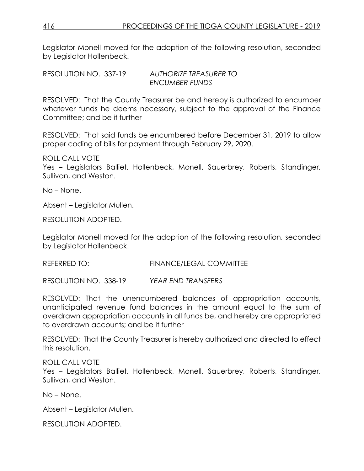RESOLUTION NO. 337-19 *AUTHORIZE TREASURER TO ENCUMBER FUNDS*

RESOLVED: That the County Treasurer be and hereby is authorized to encumber whatever funds he deems necessary, subject to the approval of the Finance Committee; and be it further

RESOLVED: That said funds be encumbered before December 31, 2019 to allow proper coding of bills for payment through February 29, 2020.

ROLL CALL VOTE

Yes – Legislators Balliet, Hollenbeck, Monell, Sauerbrey, Roberts, Standinger, Sullivan, and Weston.

No – None.

Absent – Legislator Mullen.

RESOLUTION ADOPTED.

Legislator Monell moved for the adoption of the following resolution, seconded by Legislator Hollenbeck.

REFERRED TO: FINANCE/LEGAL COMMITTEE

RESOLUTION NO. 338-19 *YEAR END TRANSFERS*

RESOLVED: That the unencumbered balances of appropriation accounts, unanticipated revenue fund balances in the amount equal to the sum of overdrawn appropriation accounts in all funds be, and hereby are appropriated to overdrawn accounts; and be it further

RESOLVED: That the County Treasurer is hereby authorized and directed to effect this resolution.

ROLL CALL VOTE Yes – Legislators Balliet, Hollenbeck, Monell, Sauerbrey, Roberts, Standinger, Sullivan, and Weston.

No – None.

Absent – Legislator Mullen.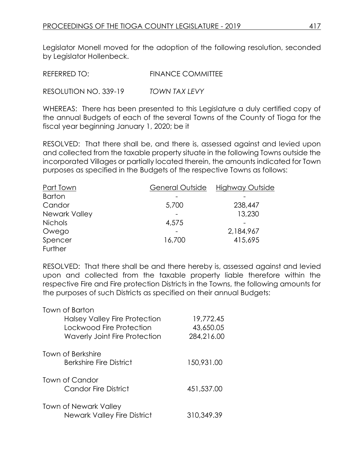REFERRED TO: FINANCE COMMITTEE

RESOLUTION NO. 339-19 *TOWN TAX LEVY*

WHEREAS: There has been presented to this Legislature a duly certified copy of the annual Budgets of each of the several Towns of the County of Tioga for the fiscal year beginning January 1, 2020; be it

RESOLVED: That there shall be, and there is, assessed against and levied upon and collected from the taxable property situate in the following Towns outside the incorporated Villages or partially located therein, the amounts indicated for Town purposes as specified in the Budgets of the respective Towns as follows:

| Part Town      | General Outside | Highway Outside |
|----------------|-----------------|-----------------|
| <b>Barton</b>  |                 |                 |
| Candor         | 5,700           | 238,447         |
| Newark Valley  |                 | 13,230          |
| <b>Nichols</b> | 4,575           |                 |
| Owego          |                 | 2,184,967       |
| Spencer        | 16,700          | 415,695         |
| Further        |                 |                 |

RESOLVED: That there shall be and there hereby is, assessed against and levied upon and collected from the taxable property liable therefore within the respective Fire and Fire protection Districts in the Towns, the following amounts for the purposes of such Districts as specified on their annual Budgets:

| Town of Barton                       |            |
|--------------------------------------|------------|
| Halsey Valley Fire Protection        | 19,772.45  |
| Lockwood Fire Protection             | 43,650.05  |
| <b>Waverly Joint Fire Protection</b> | 284,216.00 |
| Town of Berkshire                    |            |
| Berkshire Fire District              | 150,931.00 |
| Town of Candor                       |            |
| <b>Candor Fire District</b>          | 451,537.00 |
| <b>Town of Newark Valley</b>         |            |
| <b>Newark Valley Fire District</b>   | 310,349.39 |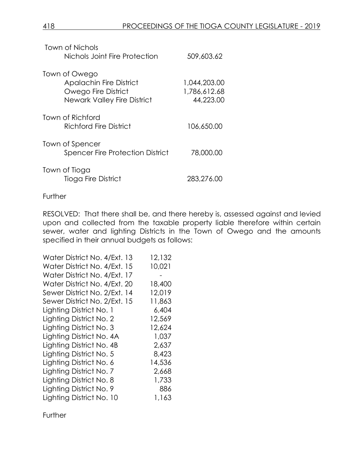| Town of Nichols<br>Nichols Joint Fire Protection                                                             | 509,603.62                                |
|--------------------------------------------------------------------------------------------------------------|-------------------------------------------|
| Town of Owego<br><b>Apalachin Fire District</b><br>Owego Fire District<br><b>Newark Valley Fire District</b> | 1,044,203.00<br>1,786,612.68<br>44,223.00 |
| Town of Richford<br><b>Richford Fire District</b>                                                            | 106,650.00                                |
| Town of Spencer<br><b>Spencer Fire Protection District</b>                                                   | 78,000.00                                 |
| Town of Tioga<br><b>Tioga Fire District</b>                                                                  | 283,276.00                                |

#### **Further**

RESOLVED: That there shall be, and there hereby is, assessed against and levied upon and collected from the taxable property liable therefore within certain sewer, water and lighting Districts in the Town of Owego and the amounts specified in their annual budgets as follows:

| Water District No. 4/Ext. 13 | 12,132 |
|------------------------------|--------|
| Water District No. 4/Ext. 15 | 10,021 |
| Water District No. 4/Ext. 17 |        |
| Water District No. 4/Ext. 20 | 18,400 |
| Sewer District No. 2/Ext. 14 | 12,019 |
| Sewer District No. 2/Ext. 15 | 11,863 |
| Lighting District No. 1      | 6,404  |
| Lighting District No. 2      | 12,569 |
| Lighting District No. 3      | 12,624 |
| Lighting District No. 4A     | 1,037  |
| Lighting District No. 4B     | 2,637  |
| Lighting District No. 5      | 8,423  |
| Lighting District No. 6      | 14,536 |
| Lighting District No. 7      | 2,668  |
| Lighting District No. 8      | 1,733  |
| Lighting District No. 9      | 886    |
| Lighting District No. 10     | 1,163  |

**Further**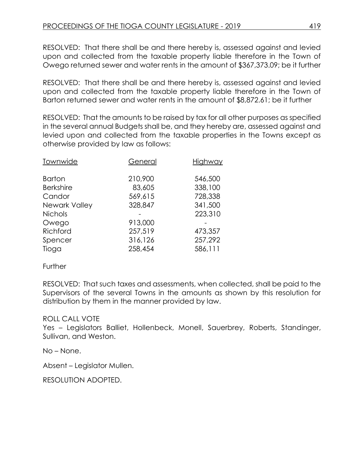RESOLVED: That there shall be and there hereby is, assessed against and levied upon and collected from the taxable property liable therefore in the Town of Owego returned sewer and water rents in the amount of \$367,373.09; be it further

RESOLVED: That there shall be and there hereby is, assessed against and levied upon and collected from the taxable property liable therefore in the Town of Barton returned sewer and water rents in the amount of \$8,872.61; be it further

RESOLVED: That the amounts to be raised by tax for all other purposes as specified in the several annual Budgets shall be, and they hereby are, assessed against and levied upon and collected from the taxable properties in the Towns except as otherwise provided by law as follows:

| Townwide         | General | Highway |
|------------------|---------|---------|
| <b>Barton</b>    | 210,900 | 546,500 |
| <b>Berkshire</b> | 83,605  | 338,100 |
| Candor           | 569,615 | 728,338 |
| Newark Valley    | 328,847 | 341,500 |
| <b>Nichols</b>   |         | 223,310 |
| Owego            | 913,000 |         |
| Richford         | 257,519 | 473,357 |
| Spencer          | 316,126 | 257,292 |
| Tioga            | 258,454 | 586,111 |

### Further

RESOLVED: That such taxes and assessments, when collected, shall be paid to the Supervisors of the several Towns in the amounts as shown by this resolution for distribution by them in the manner provided by law.

# ROLL CALL VOTE

Yes – Legislators Balliet, Hollenbeck, Monell, Sauerbrey, Roberts, Standinger, Sullivan, and Weston.

No – None.

Absent – Legislator Mullen.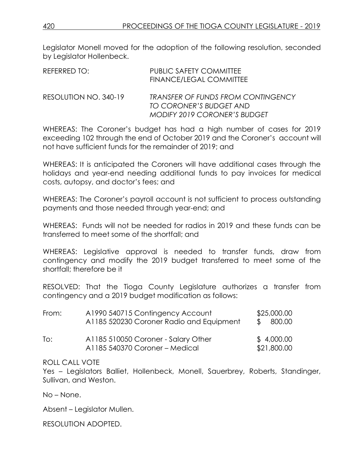| REFERRED TO:          | <b>PUBLIC SAFETY COMMITTEE</b><br>FINANCE/LEGAL COMMITTEE            |
|-----------------------|----------------------------------------------------------------------|
| RESOLUTION NO. 340-19 | <b>TRANSFER OF FUNDS FROM CONTINGENCY</b><br>TO CORONER'S BUDGET AND |
|                       | <b>MODIFY 2019 CORONER'S BUDGET</b>                                  |

WHEREAS: The Coroner's budget has had a high number of cases for 2019 exceeding 102 through the end of October 2019 and the Coroner's account will not have sufficient funds for the remainder of 2019; and

WHEREAS: It is anticipated the Coroners will have additional cases through the holidays and year-end needing additional funds to pay invoices for medical costs, autopsy, and doctor's fees; and

WHEREAS: The Coroner's payroll account is not sufficient to process outstanding payments and those needed through year-end; and

WHEREAS: Funds will not be needed for radios in 2019 and these funds can be transferred to meet some of the shortfall; and

WHEREAS: Legislative approval is needed to transfer funds, draw from contingency and modify the 2019 budget transferred to meet some of the shortfall; therefore be it

RESOLVED: That the Tioga County Legislature authorizes a transfer from contingency and a 2019 budget modification as follows:

| From: | A1990 540715 Contingency Account<br>A1185 520230 Coroner Radio and Equipment | \$25,000.00<br>\$800.00   |
|-------|------------------------------------------------------------------------------|---------------------------|
|       |                                                                              |                           |
| To:   | A1185 510050 Coroner - Salary Other<br>A1185 540370 Coroner - Medical        | \$4,000.00<br>\$21,800.00 |

### ROLL CALL VOTE

Yes – Legislators Balliet, Hollenbeck, Monell, Sauerbrey, Roberts, Standinger, Sullivan, and Weston.

No – None.

Absent – Legislator Mullen.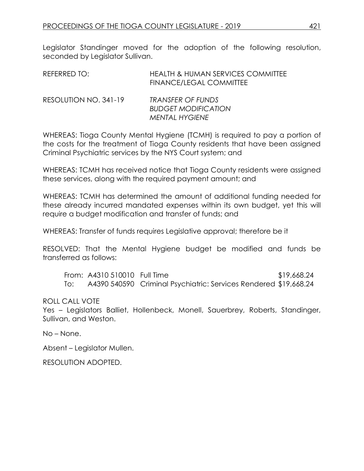| REFERRED TO:          | HEALTH & HUMAN SERVICES COMMITTEE<br>FINANCE/LEGAL COMMITTEE |
|-----------------------|--------------------------------------------------------------|
| RESOLUTION NO. 341-19 | TRANSFER OF FUNDS<br><b>BUDGET MODIFICATION</b>              |

WHEREAS: Tioga County Mental Hygiene (TCMH) is required to pay a portion of the costs for the treatment of Tioga County residents that have been assigned Criminal Psychiatric services by the NYS Court system; and

*MENTAL HYGIENE*

WHEREAS: TCMH has received notice that Tioga County residents were assigned these services, along with the required payment amount; and

WHEREAS: TCMH has determined the amount of additional funding needed for these already incurred mandated expenses within its own budget, yet this will require a budget modification and transfer of funds; and

WHEREAS: Transfer of funds requires Legislative approval; therefore be it

RESOLVED: That the Mental Hygiene budget be modified and funds be transferred as follows:

From: A4310 510010 Full Time \$19,668.24 To: A4390 540590 Criminal Psychiatric: Services Rendered \$19,668.24

ROLL CALL VOTE

Yes – Legislators Balliet, Hollenbeck, Monell, Sauerbrey, Roberts, Standinger, Sullivan, and Weston.

No – None.

Absent – Legislator Mullen.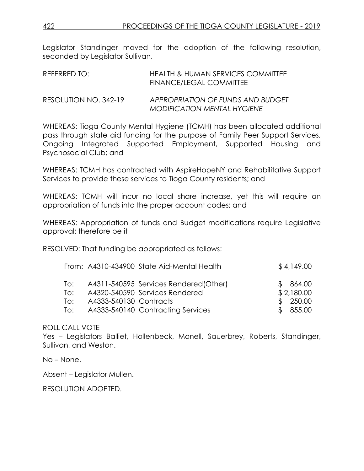| REFERRED TO:          | HEALTH & HUMAN SERVICES COMMITTEE<br>FINANCE/LEGAL COMMITTEE     |
|-----------------------|------------------------------------------------------------------|
| RESOLUTION NO. 342-19 | APPROPRIATION OF FUNDS AND BUDGET<br>MODIFICATION MENTAL HYGIENE |

WHEREAS: Tioga County Mental Hygiene (TCMH) has been allocated additional pass through state aid funding for the purpose of Family Peer Support Services, Ongoing Integrated Supported Employment, Supported Housing and Psychosocial Club; and

WHEREAS: TCMH has contracted with AspireHopeNY and Rehabilitative Support Services to provide these services to Tioga County residents; and

WHEREAS: TCMH will incur no local share increase, yet this will require an appropriation of funds into the proper account codes; and

WHEREAS: Appropriation of funds and Budget modifications require Legislative approval; therefore be it

RESOLVED: That funding be appropriated as follows:

|     |                        | From: A4310-434900 State Aid-Mental Health | \$4,149.00 |
|-----|------------------------|--------------------------------------------|------------|
| To: |                        | A4311-540595 Services Rendered (Other)     | \$864.00   |
| To: |                        | A4320-540590 Services Rendered             | \$2,180.00 |
| To: | A4333-540130 Contracts |                                            | \$250.00   |
| To: |                        | A4333-540140 Contracting Services          | \$855.00   |

# ROLL CALL VOTE

Yes – Legislators Balliet, Hollenbeck, Monell, Sauerbrey, Roberts, Standinger, Sullivan, and Weston.

No – None.

Absent – Legislator Mullen.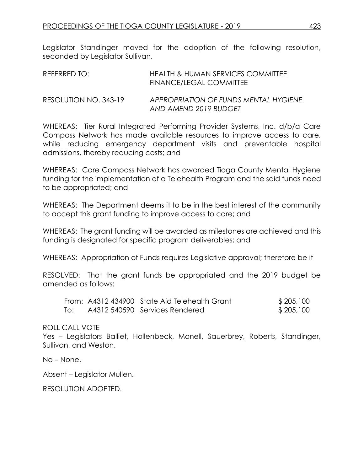| REFERRED TO:          | HEALTH & HUMAN SERVICES COMMITTEE<br>FINANCE/LEGAL COMMITTEE   |
|-----------------------|----------------------------------------------------------------|
| RESOLUTION NO. 343-19 | APPROPRIATION OF FUNDS MENTAL HYGIENE<br>AND AMEND 2019 BUDGET |

WHEREAS: Tier Rural Integrated Performing Provider Systems, Inc. d/b/a Care Compass Network has made available resources to improve access to care, while reducing emergency department visits and preventable hospital admissions, thereby reducing costs; and

WHEREAS: Care Compass Network has awarded Tioga County Mental Hygiene funding for the implementation of a Telehealth Program and the said funds need to be appropriated; and

WHEREAS: The Department deems it to be in the best interest of the community to accept this grant funding to improve access to care; and

WHEREAS: The grant funding will be awarded as milestones are achieved and this funding is designated for specific program deliverables; and

WHEREAS: Appropriation of Funds requires Legislative approval; therefore be it

RESOLVED: That the grant funds be appropriated and the 2019 budget be amended as follows:

|     | From: A4312 434900 State Aid Telehealth Grant | \$205,100 |
|-----|-----------------------------------------------|-----------|
| To: | A4312 540590 Services Rendered                | \$205,100 |

ROLL CALL VOTE

Yes – Legislators Balliet, Hollenbeck, Monell, Sauerbrey, Roberts, Standinger, Sullivan, and Weston.

No – None.

Absent – Legislator Mullen.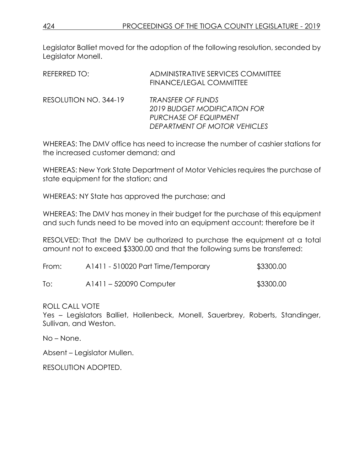| REFERRED TO:          | ADMINISTRATIVE SERVICES COMMITTEE<br>FINANCE/LEGAL COMMITTEE                                                      |
|-----------------------|-------------------------------------------------------------------------------------------------------------------|
| RESOLUTION NO. 344-19 | <b>TRANSFER OF FUNDS</b><br>2019 BUDGET MODIFICATION FOR<br>PURCHASE OF EQUIPMENT<br>DEPARTMENT OF MOTOR VEHICLES |

WHEREAS: The DMV office has need to increase the number of cashier stations for the increased customer demand; and

WHEREAS: New York State Department of Motor Vehicles requires the purchase of state equipment for the station; and

WHEREAS: NY State has approved the purchase; and

WHEREAS: The DMV has money in their budget for the purchase of this equipment and such funds need to be moved into an equipment account; therefore be it

RESOLVED: That the DMV be authorized to purchase the equipment at a total amount not to exceed \$3300.00 and that the following sums be transferred:

| From: | A1411 - 510020 Part Time/Temporary | \$3300.00 |
|-------|------------------------------------|-----------|
| To:   | A1411 – 520090 Computer            | \$3300.00 |

ROLL CALL VOTE Yes – Legislators Balliet, Hollenbeck, Monell, Sauerbrey, Roberts, Standinger, Sullivan, and Weston.

No – None.

Absent – Legislator Mullen.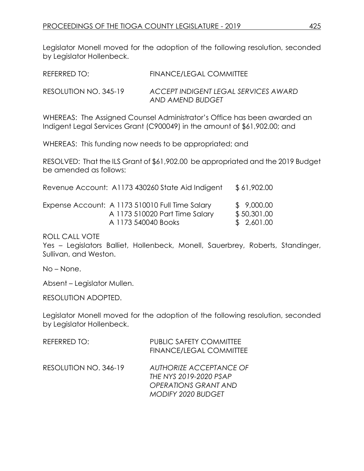| REFERRED TO:          | <b>FINANCE/LEGAL COMMITTEE</b>                           |
|-----------------------|----------------------------------------------------------|
| RESOLUTION NO. 345-19 | ACCEPT INDIGENT LEGAL SERVICES AWARD<br>AND AMEND BUDGET |

WHEREAS: The Assigned Counsel Administrator's Office has been awarded an Indigent Legal Services Grant (C900049) in the amount of \$61,902.00; and

WHEREAS: This funding now needs to be appropriated; and

RESOLVED: That the ILS Grant of \$61,902.00 be appropriated and the 2019 Budget be amended as follows:

|  |  | Revenue Account: A1173 430260 State Aid Indigent | \$61,902.00 |
|--|--|--------------------------------------------------|-------------|
|--|--|--------------------------------------------------|-------------|

| Expense Account: A 1173 510010 Full Time Salary | \$ 9,000.00 |
|-------------------------------------------------|-------------|
| A 1173 510020 Part Time Salary                  | \$50,301.00 |
| A 1173 540040 Books                             | \$ 2,601.00 |

### ROLL CALL VOTE

Yes – Legislators Balliet, Hollenbeck, Monell, Sauerbrey, Roberts, Standinger, Sullivan, and Weston.

No – None.

Absent – Legislator Mullen.

RESOLUTION ADOPTED.

Legislator Monell moved for the adoption of the following resolution, seconded by Legislator Hollenbeck.

| REFERRED TO:          | <b>PUBLIC SAFETY COMMITTEE</b><br><b>FINANCE/LEGAL COMMITTEE</b>                                              |
|-----------------------|---------------------------------------------------------------------------------------------------------------|
| RESOLUTION NO. 346-19 | <b>AUTHORIZE ACCEPTANCE OF</b><br>THE NYS 2019-2020 PSAP<br><b>OPERATIONS GRANT AND</b><br>MODIFY 2020 BUDGET |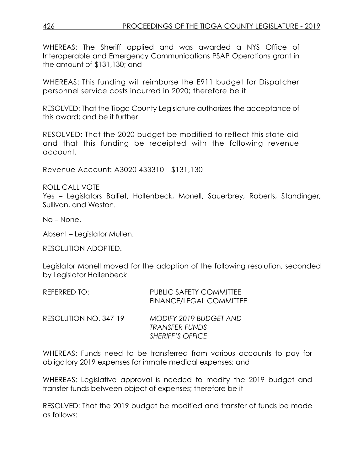WHEREAS: The Sheriff applied and was awarded a NYS Office of Interoperable and Emergency Communications PSAP Operations grant in the amount of \$131,130; and

WHEREAS: This funding will reimburse the E911 budget for Dispatcher personnel service costs incurred in 2020; therefore be it

RESOLVED: That the Tioga County Legislature authorizes the acceptance of this award; and be it further

RESOLVED: That the 2020 budget be modified to reflect this state aid and that this funding be receipted with the following revenue account.

Revenue Account: A3020 433310 \$131,130

ROLL CALL VOTE

Yes – Legislators Balliet, Hollenbeck, Monell, Sauerbrey, Roberts, Standinger, Sullivan, and Weston.

No – None.

Absent – Legislator Mullen.

RESOLUTION ADOPTED.

Legislator Monell moved for the adoption of the following resolution, seconded by Legislator Hollenbeck.

| REFERRED TO:          | <b>PUBLIC SAFETY COMMITTEE</b><br><b>FINANCE/LEGAL COMMITTEE</b>           |
|-----------------------|----------------------------------------------------------------------------|
| RESOLUTION NO. 347-19 | MODIFY 2019 BUDGET AND<br><b>TRANSFER FUNDS</b><br><b>SHERIFF'S OFFICE</b> |

WHEREAS: Funds need to be transferred from various accounts to pay for obligatory 2019 expenses for inmate medical expenses; and

WHEREAS: Legislative approval is needed to modify the 2019 budget and transfer funds between object of expenses; therefore be it

RESOLVED: That the 2019 budget be modified and transfer of funds be made as follows: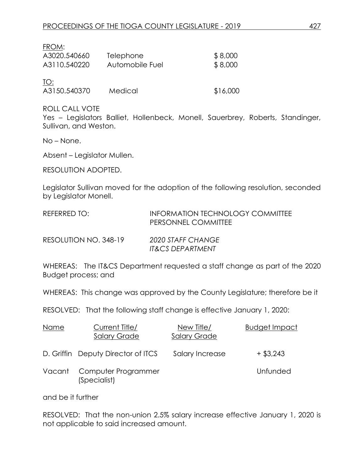| FROM:        |                  |          |
|--------------|------------------|----------|
| A3020.540660 | <b>Telephone</b> | \$8,000  |
| A3110.540220 | Automobile Fuel  | \$8,000  |
| TO:          |                  |          |
| A3150.540370 | Medical          | \$16,000 |

ROLL CALL VOTE

Yes – Legislators Balliet, Hollenbeck, Monell, Sauerbrey, Roberts, Standinger, Sullivan, and Weston.

No – None.

Absent – Legislator Mullen.

RESOLUTION ADOPTED.

Legislator Sullivan moved for the adoption of the following resolution, seconded by Legislator Monell.

| REFERRED TO:          | INFORMATION TECHNOLOGY COMMITTEE<br>PERSONNEL COMMITTEE |
|-----------------------|---------------------------------------------------------|
| RESOLUTION NO. 348-19 | 2020 STAFF CHANGE<br><b>IT&amp;CS DEPARTMENT</b>        |

WHEREAS: The IT&CS Department requested a staff change as part of the 2020 Budget process; and

WHEREAS: This change was approved by the County Legislature; therefore be it

RESOLVED: That the following staff change is effective January 1, 2020:

| Name   | Current Title/<br><b>Salary Grade</b> | New Title/<br><b>Salary Grade</b> | Budget Impact |
|--------|---------------------------------------|-----------------------------------|---------------|
|        | D. Griffin Deputy Director of ITCS    | Salary Increase                   | $+$ \$3,243   |
| Vacant | Computer Programmer<br>(Specialist)   |                                   | Unfunded      |

and be it further

RESOLVED: That the non-union 2.5% salary increase effective January 1, 2020 is not applicable to said increased amount.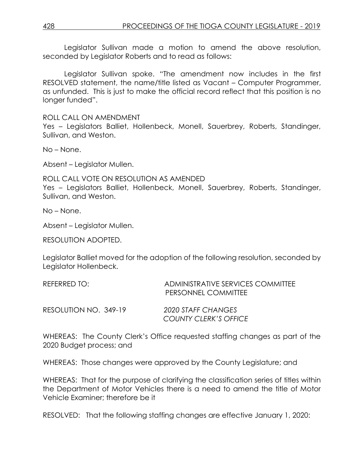Legislator Sullivan made a motion to amend the above resolution, seconded by Legislator Roberts and to read as follows:

Legislator Sullivan spoke. "The amendment now includes in the first RESOLVED statement, the name/title listed as Vacant – Computer Programmer, as unfunded. This is just to make the official record reflect that this position is no longer funded".

ROLL CALL ON AMENDMENT

Yes – Legislators Balliet, Hollenbeck, Monell, Sauerbrey, Roberts, Standinger, Sullivan, and Weston.

No – None.

Absent – Legislator Mullen.

ROLL CALL VOTE ON RESOLUTION AS AMENDED Yes – Legislators Balliet, Hollenbeck, Monell, Sauerbrey, Roberts, Standinger, Sullivan, and Weston.

No – None.

Absent – Legislator Mullen.

RESOLUTION ADOPTED.

Legislator Balliet moved for the adoption of the following resolution, seconded by Legislator Hollenbeck.

| REFERRED TO:          | ADMINISTRATIVE SERVICES COMMITTEE<br>PERSONNEL COMMITTEE |
|-----------------------|----------------------------------------------------------|
| RESOLUTION NO. 349-19 | 2020 STAFF CHANGES<br>COUNTY CLERK'S OFFICE              |

WHEREAS: The County Clerk's Office requested staffing changes as part of the 2020 Budget process; and

WHEREAS: Those changes were approved by the County Legislature; and

WHEREAS: That for the purpose of clarifying the classification series of titles within the Department of Motor Vehicles there is a need to amend the title of Motor Vehicle Examiner; therefore be it

RESOLVED: That the following staffing changes are effective January 1, 2020: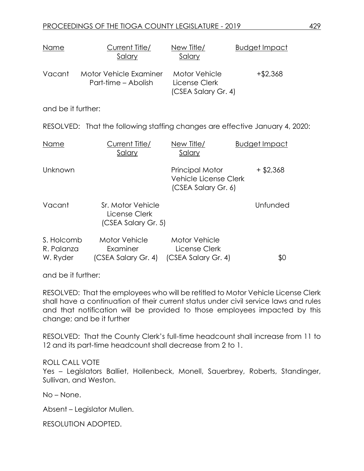| <u>Name</u>                          | <u>Current Title/</u><br><u>Salary</u>                                       | <u>New Title/</u><br><u>Salary</u>                                            | <b>Budget Impact</b> |
|--------------------------------------|------------------------------------------------------------------------------|-------------------------------------------------------------------------------|----------------------|
| Vacant                               | Motor Vehicle Examiner<br>Part-time - Abolish                                | <b>Motor Vehicle</b><br>License Clerk<br>(CSEA Salary Gr. 4)                  | $+ $2,368$           |
| and be it further:                   |                                                                              |                                                                               |                      |
|                                      | RESOLVED: That the following staffing changes are effective January 4, 2020: |                                                                               |                      |
| Name                                 | <u>Current Title/</u><br><u>Salary</u>                                       | New Title/<br><u>Salary</u>                                                   | <b>Budget Impact</b> |
| Unknown                              |                                                                              | <b>Principal Motor</b><br><b>Vehicle License Clerk</b><br>(CSEA Salary Gr. 6) | $+$ \$2,368          |
| Vacant                               | Sr. Motor Vehicle<br>License Clerk<br>(CSEA Salary Gr. 5)                    |                                                                               | Unfunded             |
| S. Holcomb<br>R. Palanza<br>W. Ryder | Motor Vehicle<br>Examiner<br>(CSEA Salary Gr. 4)                             | <b>Motor Vehicle</b><br>License Clerk<br>(CSEA Salary Gr. 4)                  | \$0                  |

and be it further:

RESOLVED: That the employees who will be retitled to Motor Vehicle License Clerk shall have a continuation of their current status under civil service laws and rules and that notification will be provided to those employees impacted by this change; and be it further

RESOLVED: That the County Clerk's full-time headcount shall increase from 11 to 12 and its part-time headcount shall decrease from 2 to 1.

ROLL CALL VOTE Yes – Legislators Balliet, Hollenbeck, Monell, Sauerbrey, Roberts, Standinger, Sullivan, and Weston.

No – None.

Absent – Legislator Mullen.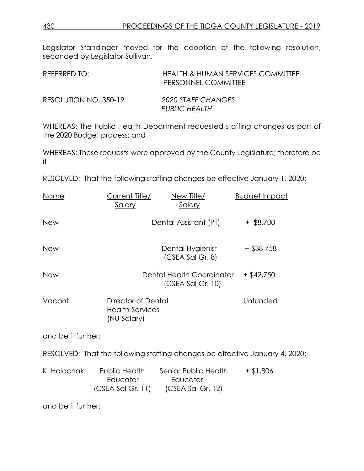| REFERRED TO:          | HEALTH & HUMAN SERVICES COMMITTEE<br>PERSONNEL COMMITTEE |
|-----------------------|----------------------------------------------------------|
| RESOLUTION NO. 350-19 | 2020 STAFF CHANGES<br>PUBLIC HEALTH                      |

WHEREAS: The Public Health Department requested staffing changes as part of the 2020 Budget process; and

WHEREAS: These requests were approved by the County Legislature; therefore be it

RESOLVED: That the following staffing changes be effective January 1, 2020:

| Name               | Current Title/<br><u>Salary</u>                             | New Title/<br>Salary                                                        | <b>Budget Impact</b> |
|--------------------|-------------------------------------------------------------|-----------------------------------------------------------------------------|----------------------|
| New                |                                                             | Dental Assistant (PT)                                                       | $+$ \$8,700          |
| New                |                                                             | Dental Hygienist<br>(CSEA Sal Gr. 8)                                        | $+$ \$38,758         |
| <b>New</b>         |                                                             | Dental Health Coordinator<br>$(CSEA$ Sal Gr. 10)                            | $+$ \$42,750         |
| Vacant             | Director of Dental<br><b>Health Services</b><br>(NU Salary) |                                                                             | Unfunded             |
| and be it further: |                                                             |                                                                             |                      |
|                    |                                                             | RESOLVED: That the following staffing changes be effective January 4, 2020: |                      |
| K. Holochak        | Public Health<br>Educator                                   | Senior Public Health<br>Educator<br>$(CSEA Sal Gr. 11)$ $(CSEA Sal Gr. 12)$ | $+ $1,806$           |

and be it further: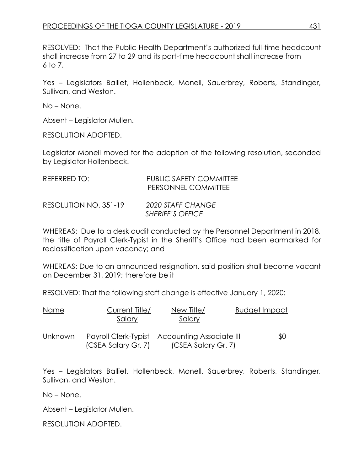RESOLVED: That the Public Health Department's authorized full-time headcount shall increase from 27 to 29 and its part-time headcount shall increase from 6 to 7.

Yes – Legislators Balliet, Hollenbeck, Monell, Sauerbrey, Roberts, Standinger, Sullivan, and Weston.

No – None.

Absent – Legislator Mullen.

RESOLUTION ADOPTED.

Legislator Monell moved for the adoption of the following resolution, seconded by Legislator Hollenbeck.

| REFERRED TO:          | <b>PUBLIC SAFETY COMMITTEE</b><br>PERSONNEL COMMITTEE |
|-----------------------|-------------------------------------------------------|
| RESOLUTION NO. 351-19 | 2020 STAFF CHANGE<br><b>SHERIFF'S OFFICE</b>          |

WHEREAS: Due to a desk audit conducted by the Personnel Department in 2018, the title of Payroll Clerk-Typist in the Sheriff's Office had been earmarked for reclassification upon vacancy; and

WHEREAS: Due to an announced resignation, said position shall become vacant on December 31, 2019; therefore be it

RESOLVED: That the following staff change is effective January 1, 2020:

| Name           | Current Title/<br>Salary | New Title/<br>Salary                                                 | <b>Budget Impact</b> |
|----------------|--------------------------|----------------------------------------------------------------------|----------------------|
| <b>Unknown</b> | (CSEA Salary Gr. 7)      | Payroll Clerk-Typist Accounting Associate III<br>(CSEA Salary Gr. 7) | \$0                  |

Yes – Legislators Balliet, Hollenbeck, Monell, Sauerbrey, Roberts, Standinger, Sullivan, and Weston.

No – None.

Absent – Legislator Mullen.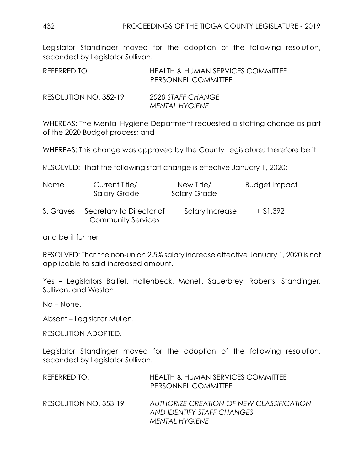| REFERRED TO:          | HEALTH & HUMAN SERVICES COMMITTEE<br>PERSONNEL COMMITTEE |
|-----------------------|----------------------------------------------------------|
| RESOLUTION NO. 352-19 | 2020 STAFF CHANGE<br>MENTAL HYGIENE                      |

WHEREAS: The Mental Hygiene Department requested a staffing change as part of the 2020 Budget process; and

WHEREAS: This change was approved by the County Legislature; therefore be it

RESOLVED: That the following staff change is effective January 1, 2020:

| Name      | Current Title/<br><b>Salary Grade</b>                 | New Title/<br><b>Salary Grade</b> | <b>Budget Impact</b> |
|-----------|-------------------------------------------------------|-----------------------------------|----------------------|
| S. Graves | Secretary to Director of<br><b>Community Services</b> | Salary Increase                   | $+ $1,392$           |

and be it further

RESOLVED: That the non-union 2.5% salary increase effective January 1, 2020 is not applicable to said increased amount.

Yes – Legislators Balliet, Hollenbeck, Monell, Sauerbrey, Roberts, Standinger, Sullivan, and Weston.

No – None.

Absent – Legislator Mullen.

RESOLUTION ADOPTED.

Legislator Standinger moved for the adoption of the following resolution, seconded by Legislator Sullivan.

| REFERRED TO:          | <b>HEALTH &amp; HUMAN SERVICES COMMITTEE</b><br>PERSONNEL COMMITTEE                      |
|-----------------------|------------------------------------------------------------------------------------------|
| RESOLUTION NO. 353-19 | AUTHORIZE CREATION OF NEW CLASSIFICATION<br>AND IDENTIFY STAFF CHANGES<br>MENTAL HYGIENE |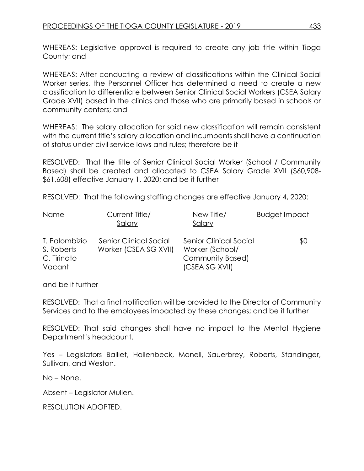WHEREAS: Legislative approval is required to create any job title within Tioga County; and

WHEREAS: After conducting a review of classifications within the Clinical Social Worker series, the Personnel Officer has determined a need to create a new classification to differentiate between Senior Clinical Social Workers (CSEA Salary Grade XVII) based in the clinics and those who are primarily based in schools or community centers; and

WHEREAS: The salary allocation for said new classification will remain consistent with the current title's salary allocation and incumbents shall have a continuation of status under civil service laws and rules; therefore be it

RESOLVED: That the title of Senior Clinical Social Worker (School / Community Based) shall be created and allocated to CSEA Salary Grade XVII (\$60,908- \$61,608) effective January 1, 2020; and be it further

RESOLVED: That the following staffing changes are effective January 4, 2020:

| Name          | Current Title/         | New Title/                    | <b>Budget Impact</b> |
|---------------|------------------------|-------------------------------|----------------------|
|               | Salary                 | Salary                        |                      |
| T. Palombizio | Senior Clinical Social | <b>Senior Clinical Social</b> | \$0                  |
| S. Roberts    | Worker (CSEA SG XVII)  | Worker (School/               |                      |
| C. Tirinato   |                        | Community Based)              |                      |
| Vacant        |                        | (CSEA SG XVII)                |                      |

and be it further

RESOLVED: That a final notification will be provided to the Director of Community Services and to the employees impacted by these changes; and be it further

RESOLVED: That said changes shall have no impact to the Mental Hygiene Department's headcount.

Yes – Legislators Balliet, Hollenbeck, Monell, Sauerbrey, Roberts, Standinger, Sullivan, and Weston.

No – None.

Absent – Legislator Mullen.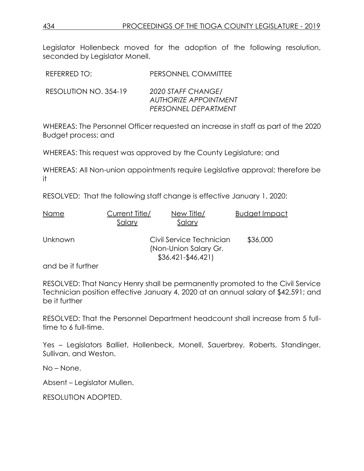| REFERRED TO:          | PERSONNEL COMMITTEE                                                        |
|-----------------------|----------------------------------------------------------------------------|
| RESOLUTION NO. 354-19 | 2020 STAFF CHANGE/<br><b>AUTHORIZE APPOINTMENT</b><br>PERSONNEL DEPARTMENT |

WHEREAS: The Personnel Officer requested an increase in staff as part of the 2020 Budget process; and

WHEREAS: This request was approved by the County Legislature; and

WHEREAS: All Non-union appointments require Legislative approval; therefore be it

RESOLVED: That the following staff change is effective January 1, 2020:

| Name    | Current Title/<br>Salary | New Title/<br>Salary                                                      | <b>Budget Impact</b> |
|---------|--------------------------|---------------------------------------------------------------------------|----------------------|
| Unknown |                          | Civil Service Technician<br>(Non-Union Salary Gr.<br>$$36,421 - $46,421]$ | \$36,000             |

and be it further

RESOLVED: That Nancy Henry shall be permanently promoted to the Civil Service Technician position effective January 4, 2020 at an annual salary of \$42,591; and be it further

RESOLVED: That the Personnel Department headcount shall increase from 5 fulltime to 6 full-time.

Yes – Legislators Balliet, Hollenbeck, Monell, Sauerbrey, Roberts, Standinger, Sullivan, and Weston.

No – None.

Absent – Legislator Mullen.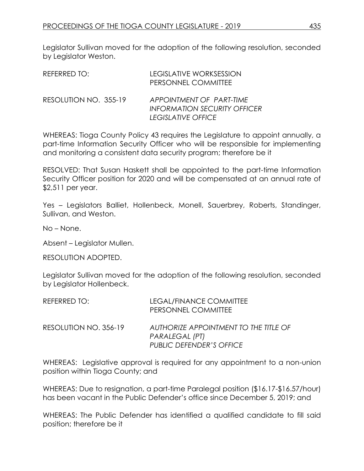Legislator Sullivan moved for the adoption of the following resolution, seconded by Legislator Weston.

| REFERRED TO:          | <b>LEGISLATIVE WORKSESSION</b><br>PERSONNEL COMMITTEE                                 |
|-----------------------|---------------------------------------------------------------------------------------|
| RESOLUTION NO. 355-19 | APPOINTMENT OF PART-TIME<br><b>INFORMATION SECURITY OFFICER</b><br>LEGISLATIVE OFFICE |

WHEREAS: Tioga County Policy 43 requires the Legislature to appoint annually, a part-time Information Security Officer who will be responsible for implementing and monitoring a consistent data security program; therefore be it

RESOLVED: That Susan Haskett shall be appointed to the part-time Information Security Officer position for 2020 and will be compensated at an annual rate of \$2,511 per year.

Yes – Legislators Balliet, Hollenbeck, Monell, Sauerbrey, Roberts, Standinger, Sullivan, and Weston.

No – None.

Absent – Legislator Mullen.

RESOLUTION ADOPTED.

Legislator Sullivan moved for the adoption of the following resolution, seconded by Legislator Hollenbeck.

| REFERRED TO:          | LEGAL/FINANCE COMMITTEE<br>PERSONNEL COMMITTEE                                             |
|-----------------------|--------------------------------------------------------------------------------------------|
| RESOLUTION NO. 356-19 | AUTHORIZE APPOINTMENT TO THE TITLE OF<br>PARALEGAL (PT)<br><b>PUBLIC DEFENDER'S OFFICE</b> |

WHEREAS: Legislative approval is required for any appointment to a non-union position within Tioga County; and

WHEREAS: Due to resignation, a part-time Paralegal position (\$16.17-\$16.57/hour) has been vacant in the Public Defender's office since December 5, 2019; and

WHEREAS: The Public Defender has identified a qualified candidate to fill said position; therefore be it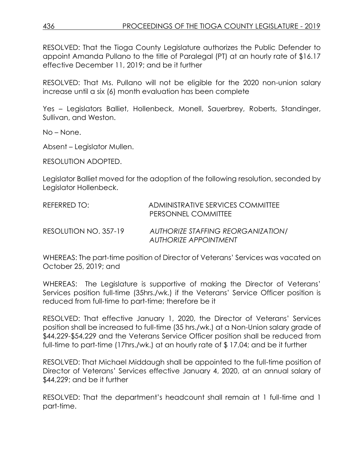RESOLVED: That the Tioga County Legislature authorizes the Public Defender to appoint Amanda Pullano to the title of Paralegal (PT) at an hourly rate of \$16.17 effective December 11, 2019; and be it further

RESOLVED: That Ms. Pullano will not be eligible for the 2020 non-union salary increase until a six (6) month evaluation has been complete

Yes – Legislators Balliet, Hollenbeck, Monell, Sauerbrey, Roberts, Standinger, Sullivan, and Weston.

No – None.

Absent – Legislator Mullen.

RESOLUTION ADOPTED.

Legislator Balliet moved for the adoption of the following resolution, seconded by Legislator Hollenbeck.

| REFERRED TO:          | ADMINISTRATIVE SERVICES COMMITTEE<br>PERSONNEL COMMITTEE                  |
|-----------------------|---------------------------------------------------------------------------|
| RESOLUTION NO. 357-19 | <b>AUTHORIZE STAFFING REORGANIZATION/</b><br><b>AUTHORIZE APPOINTMENT</b> |

WHEREAS: The part-time position of Director of Veterans' Services was vacated on October 25, 2019; and

WHEREAS: The Legislature is supportive of making the Director of Veterans' Services position full-time (35hrs./wk.) if the Veterans' Service Officer position is reduced from full-time to part-time; therefore be it

RESOLVED: That effective January 1, 2020, the Director of Veterans' Services position shall be increased to full-time (35 hrs./wk.) at a Non-Union salary grade of \$44,229-\$54,229 and the Veterans Service Officer position shall be reduced from full-time to part-time (17hrs./wk.) at an hourly rate of \$ 17.04; and be it further

RESOLVED: That Michael Middaugh shall be appointed to the full-time position of Director of Veterans' Services effective January 4, 2020, at an annual salary of \$44,229; and be it further

RESOLVED: That the department's headcount shall remain at 1 full-time and 1 part-time.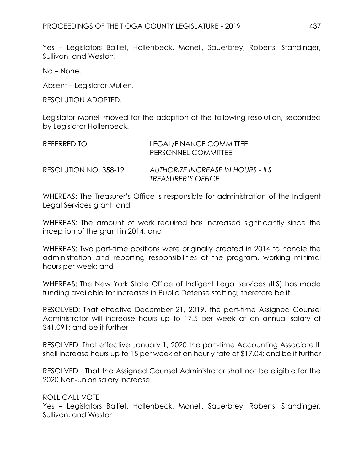Yes – Legislators Balliet, Hollenbeck, Monell, Sauerbrey, Roberts, Standinger, Sullivan, and Weston.

No – None.

Absent – Legislator Mullen.

RESOLUTION ADOPTED.

Legislator Monell moved for the adoption of the following resolution, seconded by Legislator Hollenbeck.

| REFERRED TO:          | LEGAL/FINANCE COMMITTEE<br>PERSONNEL COMMITTEE                 |
|-----------------------|----------------------------------------------------------------|
| RESOLUTION NO. 358-19 | AUTHORIZE INCREASE IN HOURS - ILS<br><b>TREASURER'S OFFICE</b> |

WHEREAS: The Treasurer's Office is responsible for administration of the Indigent Legal Services grant; and

WHEREAS: The amount of work required has increased significantly since the inception of the grant in 2014; and

WHEREAS: Two part-time positions were originally created in 2014 to handle the administration and reporting responsibilities of the program, working minimal hours per week; and

WHEREAS: The New York State Office of Indigent Legal services (ILS) has made funding available for increases in Public Defense staffing; therefore be it

RESOLVED: That effective December 21, 2019, the part-time Assigned Counsel Administrator will increase hours up to 17.5 per week at an annual salary of \$41,091; and be it further

RESOLVED: That effective January 1, 2020 the part-time Accounting Associate III shall increase hours up to 15 per week at an hourly rate of \$17.04; and be it further

RESOLVED: That the Assigned Counsel Administrator shall not be eligible for the 2020 Non-Union salary increase.

ROLL CALL VOTE

Yes – Legislators Balliet, Hollenbeck, Monell, Sauerbrey, Roberts, Standinger, Sullivan, and Weston.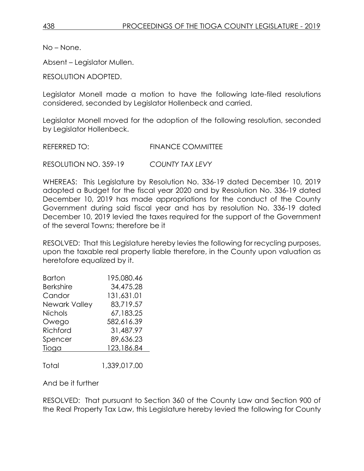No – None.

Absent – Legislator Mullen.

RESOLUTION ADOPTED.

Legislator Monell made a motion to have the following late-filed resolutions considered, seconded by Legislator Hollenbeck and carried.

Legislator Monell moved for the adoption of the following resolution, seconded by Legislator Hollenbeck.

REFERRED TO: FINANCE COMMITTEE

RESOLUTION NO. 359-19 *COUNTY TAX LEVY*

WHEREAS: This Legislature by Resolution No. 336-19 dated December 10, 2019 adopted a Budget for the fiscal year 2020 and by Resolution No. 336-19 dated December 10, 2019 has made appropriations for the conduct of the County Government during said fiscal year and has by resolution No. 336-19 dated December 10, 2019 levied the taxes required for the support of the Government of the several Towns; therefore be it

RESOLVED: That this Legislature hereby levies the following for recycling purposes, upon the taxable real property liable therefore, in the County upon valuation as heretofore equalized by it.

| Barton           | 195,080.46 |
|------------------|------------|
| <b>Berkshire</b> | 34,475.28  |
| Candor           | 131,631.01 |
| Newark Valley    | 83,719.57  |
| <b>Nichols</b>   | 67,183.25  |
| Owego            | 582,616.39 |
| Richford         | 31,487.97  |
| Spencer          | 89,636.23  |
| Tioga            | 123,186.84 |
|                  |            |

Total 1,339,017.00

And be it further

RESOLVED: That pursuant to Section 360 of the County Law and Section 900 of the Real Property Tax Law, this Legislature hereby levied the following for County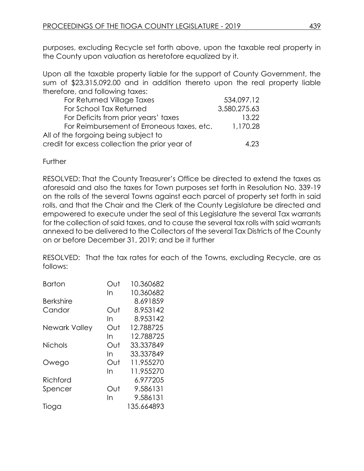purposes, excluding Recycle set forth above, upon the taxable real property in the County upon valuation as heretofore equalized by it.

Upon all the taxable property liable for the support of County Government, the sum of \$23,315,092.00 and in addition thereto upon the real property liable therefore, and following taxes:

| For Returned Village Taxes                     | 534,097.12   |
|------------------------------------------------|--------------|
| For School Tax Returned                        | 3,580,275.63 |
| For Deficits from prior years' taxes           | 13.22        |
| For Reimbursement of Erroneous taxes, etc.     | 1,170.28     |
| All of the forgoing being subject to           |              |
| credit for excess collection the prior year of | 4.23         |

**Further** 

RESOLVED: That the County Treasurer's Office be directed to extend the taxes as aforesaid and also the taxes for Town purposes set forth in Resolution No. 339-19 on the rolls of the several Towns against each parcel of property set forth in said rolls, and that the Chair and the Clerk of the County Legislature be directed and empowered to execute under the seal of this Legislature the several Tax warrants for the collection of said taxes, and to cause the several tax rolls with said warrants annexed to be delivered to the Collectors of the several Tax Districts of the County on or before December 31, 2019; and be it further

RESOLVED: That the tax rates for each of the Towns, excluding Recycle, are as follows:

| <b>Barton</b>    | ∩ut | 10.360682  |
|------------------|-----|------------|
|                  | In  | 10.360682  |
| <b>Berkshire</b> |     | 8.691859   |
| Candor           | Out | 8.953142   |
|                  | In  | 8.953142   |
| Newark Valley    | Out | 12.788725  |
|                  | In  | 12.788725  |
| <b>Nichols</b>   | Out | 33.337849  |
|                  | In  | 33.337849  |
| Owego            | Out | 11.955270  |
|                  | In  | 11.955270  |
| Richford         |     | 6.977205   |
| Spencer          | Out | 9.586131   |
|                  | In  | 9.586131   |
| lioga            |     | 135.664893 |